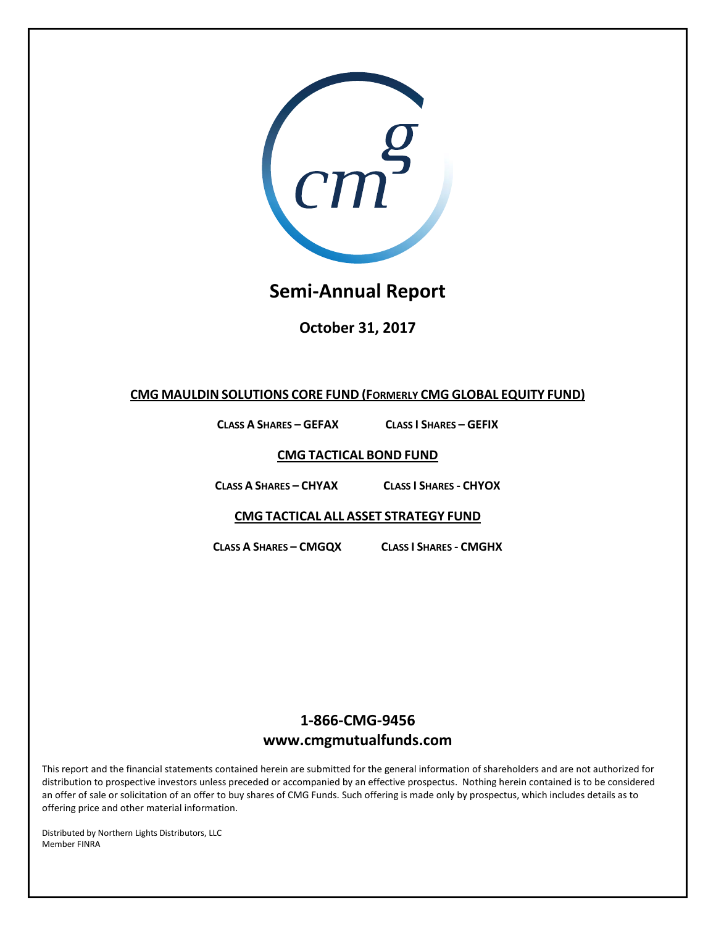

# **Semi-Annual Report**

**October 31, 2017**

## **CMG MAULDIN SOLUTIONS CORE FUND (FORMERLY CMG GLOBAL EQUITY FUND)**

**CLASS A SHARES – GEFAX CLASS I SHARES – GEFIX**

**CMG TACTICAL BOND FUND**

**CLASS A SHARES – CHYAX CLASS I SHARES - CHYOX**

**CMG TACTICAL ALL ASSET STRATEGY FUND**

**CLASS A SHARES – CMGQX CLASS I SHARES - CMGHX**

# **1-866-CMG-9456 www.cmgmutualfunds.com**

This report and the financial statements contained herein are submitted for the general information of shareholders and are not authorized for distribution to prospective investors unless preceded or accompanied by an effective prospectus. Nothing herein contained is to be considered an offer of sale or solicitation of an offer to buy shares of CMG Funds. Such offering is made only by prospectus, which includes details as to offering price and other material information.

 Distributed by Northern Lights Distributors, LLC Member FINRA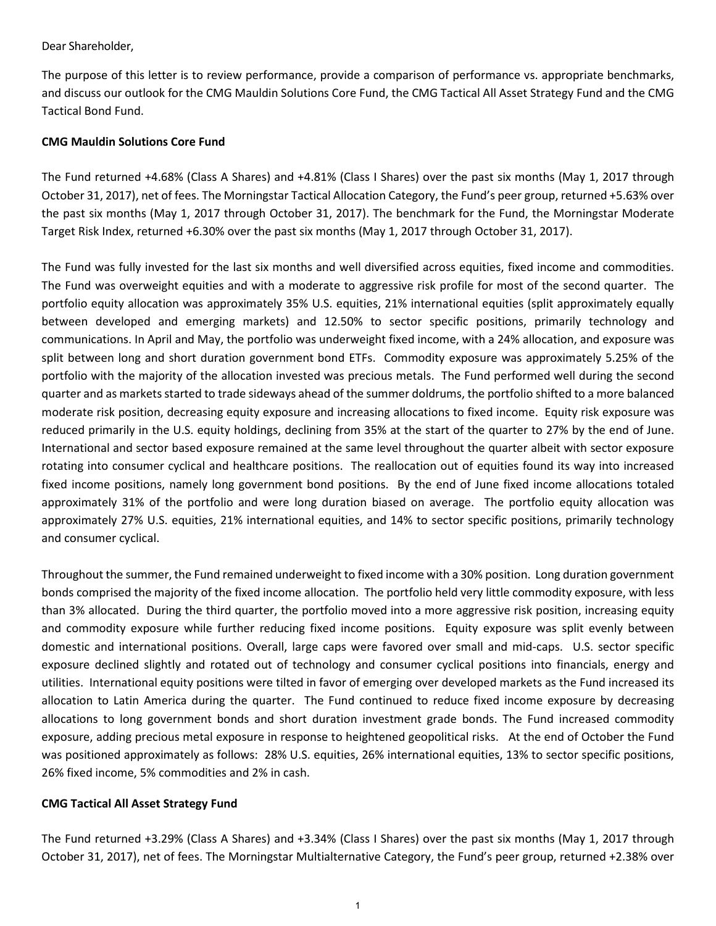### Dear Shareholder,

The purpose of this letter is to review performance, provide a comparison of performance vs. appropriate benchmarks, and discuss our outlook for the CMG Mauldin Solutions Core Fund, the CMG Tactical All Asset Strategy Fund and the CMG Tactical Bond Fund.

## **CMG Mauldin Solutions Core Fund**

The Fund returned +4.68% (Class A Shares) and +4.81% (Class I Shares) over the past six months (May 1, 2017 through October 31, 2017), net of fees. The Morningstar Tactical Allocation Category, the Fund's peer group, returned +5.63% over the past six months (May 1, 2017 through October 31, 2017). The benchmark for the Fund, the Morningstar Moderate Target Risk Index, returned +6.30% over the past six months (May 1, 2017 through October 31, 2017).

The Fund was fully invested for the last six months and well diversified across equities, fixed income and commodities. The Fund was overweight equities and with a moderate to aggressive risk profile for most of the second quarter. The portfolio equity allocation was approximately 35% U.S. equities, 21% international equities (split approximately equally between developed and emerging markets) and 12.50% to sector specific positions, primarily technology and communications. In April and May, the portfolio was underweight fixed income, with a 24% allocation, and exposure was split between long and short duration government bond ETFs. Commodity exposure was approximately 5.25% of the portfolio with the majority of the allocation invested was precious metals. The Fund performed well during the second quarter and as markets started to trade sideways ahead of the summer doldrums, the portfolio shifted to a more balanced moderate risk position, decreasing equity exposure and increasing allocations to fixed income. Equity risk exposure was reduced primarily in the U.S. equity holdings, declining from 35% at the start of the quarter to 27% by the end of June. International and sector based exposure remained at the same level throughout the quarter albeit with sector exposure rotating into consumer cyclical and healthcare positions. The reallocation out of equities found its way into increased fixed income positions, namely long government bond positions. By the end of June fixed income allocations totaled approximately 31% of the portfolio and were long duration biased on average. The portfolio equity allocation was approximately 27% U.S. equities, 21% international equities, and 14% to sector specific positions, primarily technology and consumer cyclical.

Throughout the summer, the Fund remained underweight to fixed income with a 30% position. Long duration government bonds comprised the majority of the fixed income allocation. The portfolio held very little commodity exposure, with less than 3% allocated. During the third quarter, the portfolio moved into a more aggressive risk position, increasing equity and commodity exposure while further reducing fixed income positions. Equity exposure was split evenly between domestic and international positions. Overall, large caps were favored over small and mid-caps. U.S. sector specific exposure declined slightly and rotated out of technology and consumer cyclical positions into financials, energy and utilities. International equity positions were tilted in favor of emerging over developed markets as the Fund increased its allocation to Latin America during the quarter. The Fund continued to reduce fixed income exposure by decreasing allocations to long government bonds and short duration investment grade bonds. The Fund increased commodity exposure, adding precious metal exposure in response to heightened geopolitical risks. At the end of October the Fund was positioned approximately as follows: 28% U.S. equities, 26% international equities, 13% to sector specific positions, 26% fixed income, 5% commodities and 2% in cash.

## **CMG Tactical All Asset Strategy Fund**

The Fund returned +3.29% (Class A Shares) and +3.34% (Class I Shares) over the past six months (May 1, 2017 through October 31, 2017), net of fees. The Morningstar Multialternative Category, the Fund's peer group, returned +2.38% over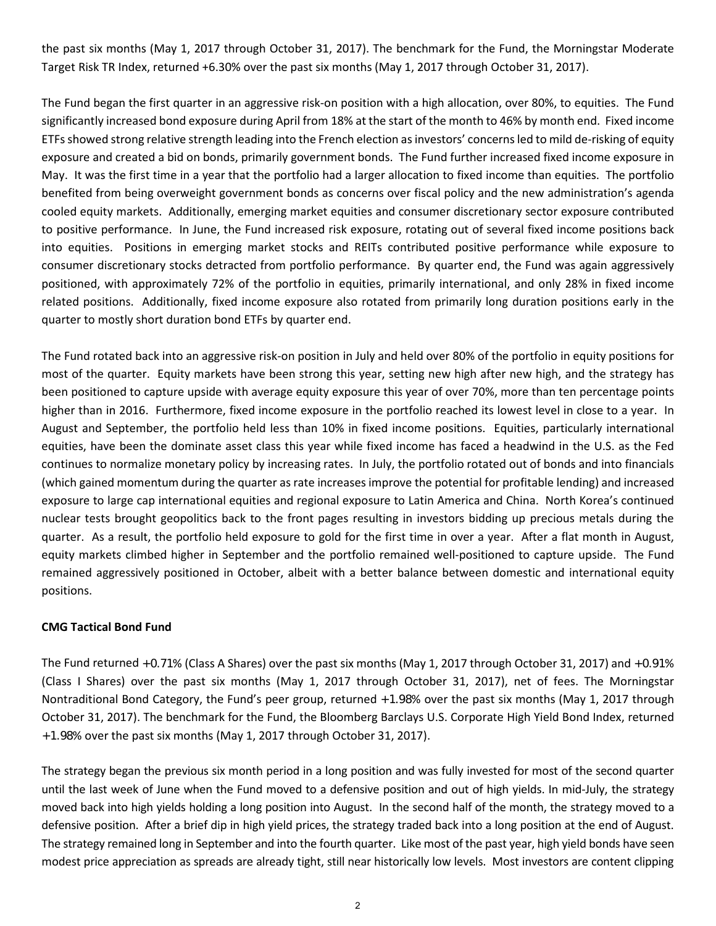the past six months (May 1, 2017 through October 31, 2017). The benchmark for the Fund, the Morningstar Moderate Target Risk TR Index, returned +6.30% over the past six months (May 1, 2017 through October 31, 2017).

The Fund began the first quarter in an aggressive risk-on position with a high allocation, over 80%, to equities. The Fund significantly increased bond exposure during April from 18% at the start of the month to 46% by month end. Fixed income ETFs showed strong relative strength leading into the French election as investors' concerns led to mild de-risking of equity exposure and created a bid on bonds, primarily government bonds. The Fund further increased fixed income exposure in May. It was the first time in a year that the portfolio had a larger allocation to fixed income than equities. The portfolio benefited from being overweight government bonds as concerns over fiscal policy and the new administration's agenda cooled equity markets. Additionally, emerging market equities and consumer discretionary sector exposure contributed to positive performance. In June, the Fund increased risk exposure, rotating out of several fixed income positions back into equities. Positions in emerging market stocks and REITs contributed positive performance while exposure to consumer discretionary stocks detracted from portfolio performance. By quarter end, the Fund was again aggressively positioned, with approximately 72% of the portfolio in equities, primarily international, and only 28% in fixed income related positions. Additionally, fixed income exposure also rotated from primarily long duration positions early in the quarter to mostly short duration bond ETFs by quarter end.

The Fund rotated back into an aggressive risk-on position in July and held over 80% of the portfolio in equity positions for most of the quarter. Equity markets have been strong this year, setting new high after new high, and the strategy has been positioned to capture upside with average equity exposure this year of over 70%, more than ten percentage points higher than in 2016. Furthermore, fixed income exposure in the portfolio reached its lowest level in close to a year. In August and September, the portfolio held less than 10% in fixed income positions. Equities, particularly international equities, have been the dominate asset class this year while fixed income has faced a headwind in the U.S. as the Fed continues to normalize monetary policy by increasing rates. In July, the portfolio rotated out of bonds and into financials (which gained momentum during the quarter as rate increases improve the potential for profitable lending) and increased exposure to large cap international equities and regional exposure to Latin America and China. North Korea's continued nuclear tests brought geopolitics back to the front pages resulting in investors bidding up precious metals during the quarter. As a result, the portfolio held exposure to gold for the first time in over a year. After a flat month in August, equity markets climbed higher in September and the portfolio remained well-positioned to capture upside. The Fund remained aggressively positioned in October, albeit with a better balance between domestic and international equity positions.

## **CMG Tactical Bond Fund**

The Fund returned +0.71% (Class A Shares) over the past six months (May 1, 2017 through October 31, 2017) and +0.91% (Class I Shares) over the past six months (May 1, 2017 through October 31, 2017), net of fees. The Morningstar Nontraditional Bond Category, the Fund's peer group, returned +1.98% over the past six months (May 1, 2017 through October 31, 2017). The benchmark for the Fund, the Bloomberg Barclays U.S. Corporate High Yield Bond Index, returned +1.98% over the past six months (May 1, 2017 through October 31, 2017).

The strategy began the previous six month period in a long position and was fully invested for most of the second quarter until the last week of June when the Fund moved to a defensive position and out of high yields. In mid-July, the strategy moved back into high yields holding a long position into August. In the second half of the month, the strategy moved to a defensive position. After a brief dip in high yield prices, the strategy traded back into a long position at the end of August. The strategy remained long in September and into the fourth quarter. Like most of the past year, high yield bonds have seen modest price appreciation as spreads are already tight, still near historically low levels. Most investors are content clipping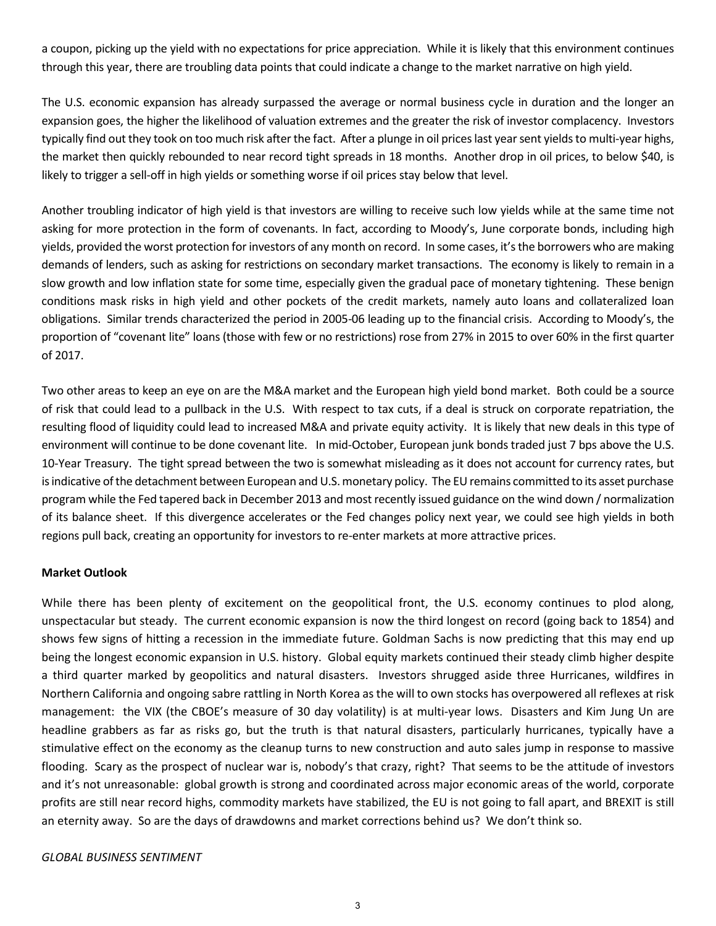a coupon, picking up the yield with no expectations for price appreciation. While it is likely that this environment continues through this year, there are troubling data points that could indicate a change to the market narrative on high yield.

The U.S. economic expansion has already surpassed the average or normal business cycle in duration and the longer an expansion goes, the higher the likelihood of valuation extremes and the greater the risk of investor complacency. Investors typically find out they took on too much risk after the fact. After a plunge in oil prices last year sent yields to multi-year highs, the market then quickly rebounded to near record tight spreads in 18 months. Another drop in oil prices, to below \$40, is likely to trigger a sell-off in high yields or something worse if oil prices stay below that level.

Another troubling indicator of high yield is that investors are willing to receive such low yields while at the same time not asking for more protection in the form of covenants. In fact, according to Moody's, June corporate bonds, including high yields, provided the worst protection for investors of any month on record. In some cases, it's the borrowers who are making demands of lenders, such as asking for restrictions on secondary market transactions. The economy is likely to remain in a slow growth and low inflation state for some time, especially given the gradual pace of monetary tightening. These benign conditions mask risks in high yield and other pockets of the credit markets, namely auto loans and collateralized loan obligations. Similar trends characterized the period in 2005-06 leading up to the financial crisis. According to Moody's, the proportion of "covenant lite" loans (those with few or no restrictions) rose from 27% in 2015 to over 60% in the first quarter of 2017.

Two other areas to keep an eye on are the M&A market and the European high yield bond market. Both could be a source of risk that could lead to a pullback in the U.S. With respect to tax cuts, if a deal is struck on corporate repatriation, the resulting flood of liquidity could lead to increased M&A and private equity activity. It is likely that new deals in this type of environment will continue to be done covenant lite. In mid-October, European junk bonds traded just 7 bps above the U.S. 10-Year Treasury. The tight spread between the two is somewhat misleading as it does not account for currency rates, but is indicative of the detachment between European and U.S. monetary policy. The EU remains committed to its asset purchase program while the Fed tapered back in December 2013 and most recently issued guidance on the wind down / normalization of its balance sheet. If this divergence accelerates or the Fed changes policy next year, we could see high yields in both regions pull back, creating an opportunity for investors to re-enter markets at more attractive prices.

## **Market Outlook**

While there has been plenty of excitement on the geopolitical front, the U.S. economy continues to plod along, unspectacular but steady. The current economic expansion is now the third longest on record (going back to 1854) and shows few signs of hitting a recession in the immediate future. Goldman Sachs is now predicting that this may end up being the longest economic expansion in U.S. history. Global equity markets continued their steady climb higher despite a third quarter marked by geopolitics and natural disasters. Investors shrugged aside three Hurricanes, wildfires in Northern California and ongoing sabre rattling in North Korea as the will to own stocks has overpowered all reflexes at risk management: the VIX (the CBOE's measure of 30 day volatility) is at multi-year lows. Disasters and Kim Jung Un are headline grabbers as far as risks go, but the truth is that natural disasters, particularly hurricanes, typically have a stimulative effect on the economy as the cleanup turns to new construction and auto sales jump in response to massive flooding. Scary as the prospect of nuclear war is, nobody's that crazy, right? That seems to be the attitude of investors and it's not unreasonable: global growth is strong and coordinated across major economic areas of the world, corporate profits are still near record highs, commodity markets have stabilized, the EU is not going to fall apart, and BREXIT is still an eternity away. So are the days of drawdowns and market corrections behind us? We don't think so.

#### *GLOBAL BUSINESS SENTIMENT*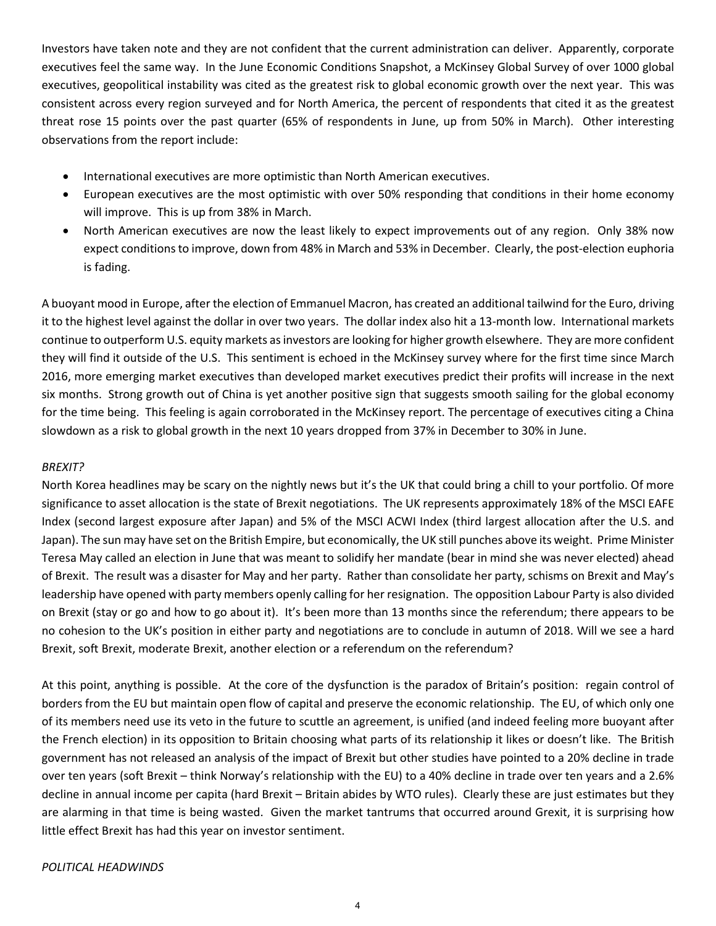Investors have taken note and they are not confident that the current administration can deliver. Apparently, corporate executives feel the same way. In the June Economic Conditions Snapshot, a McKinsey Global Survey of over 1000 global executives, geopolitical instability was cited as the greatest risk to global economic growth over the next year. This was consistent across every region surveyed and for North America, the percent of respondents that cited it as the greatest threat rose 15 points over the past quarter (65% of respondents in June, up from 50% in March). Other interesting observations from the report include:

- International executives are more optimistic than North American executives.
- European executives are the most optimistic with over 50% responding that conditions in their home economy will improve. This is up from 38% in March.
- North American executives are now the least likely to expect improvements out of any region. Only 38% now expect conditions to improve, down from 48% in March and 53% in December. Clearly, the post-election euphoria is fading.

A buoyant mood in Europe, after the election of Emmanuel Macron, has created an additional tailwind for the Euro, driving it to the highest level against the dollar in over two years. The dollar index also hit a 13-month low. International markets continue to outperform U.S. equity markets as investors are looking for higher growth elsewhere. They are more confident they will find it outside of the U.S. This sentiment is echoed in the McKinsey survey where for the first time since March 2016, more emerging market executives than developed market executives predict their profits will increase in the next six months. Strong growth out of China is yet another positive sign that suggests smooth sailing for the global economy for the time being. This feeling is again corroborated in the McKinsey report. The percentage of executives citing a China slowdown as a risk to global growth in the next 10 years dropped from 37% in December to 30% in June.

## *BREXIT?*

North Korea headlines may be scary on the nightly news but it's the UK that could bring a chill to your portfolio. Of more significance to asset allocation is the state of Brexit negotiations. The UK represents approximately 18% of the MSCI EAFE Index (second largest exposure after Japan) and 5% of the MSCI ACWI Index (third largest allocation after the U.S. and Japan). The sun may have set on the British Empire, but economically, the UK still punches above its weight. Prime Minister Teresa May called an election in June that was meant to solidify her mandate (bear in mind she was never elected) ahead of Brexit. The result was a disaster for May and her party. Rather than consolidate her party, schisms on Brexit and May's leadership have opened with party members openly calling for her resignation. The opposition Labour Party is also divided on Brexit (stay or go and how to go about it). It's been more than 13 months since the referendum; there appears to be no cohesion to the UK's position in either party and negotiations are to conclude in autumn of 2018. Will we see a hard Brexit, soft Brexit, moderate Brexit, another election or a referendum on the referendum?

At this point, anything is possible. At the core of the dysfunction is the paradox of Britain's position: regain control of borders from the EU but maintain open flow of capital and preserve the economic relationship. The EU, of which only one of its members need use its veto in the future to scuttle an agreement, is unified (and indeed feeling more buoyant after the French election) in its opposition to Britain choosing what parts of its relationship it likes or doesn't like. The British government has not released an analysis of the impact of Brexit but other studies have pointed to a 20% decline in trade over ten years (soft Brexit – think Norway's relationship with the EU) to a 40% decline in trade over ten years and a 2.6% decline in annual income per capita (hard Brexit – Britain abides by WTO rules). Clearly these are just estimates but they are alarming in that time is being wasted. Given the market tantrums that occurred around Grexit, it is surprising how little effect Brexit has had this year on investor sentiment.

## *POLITICAL HEADWINDS*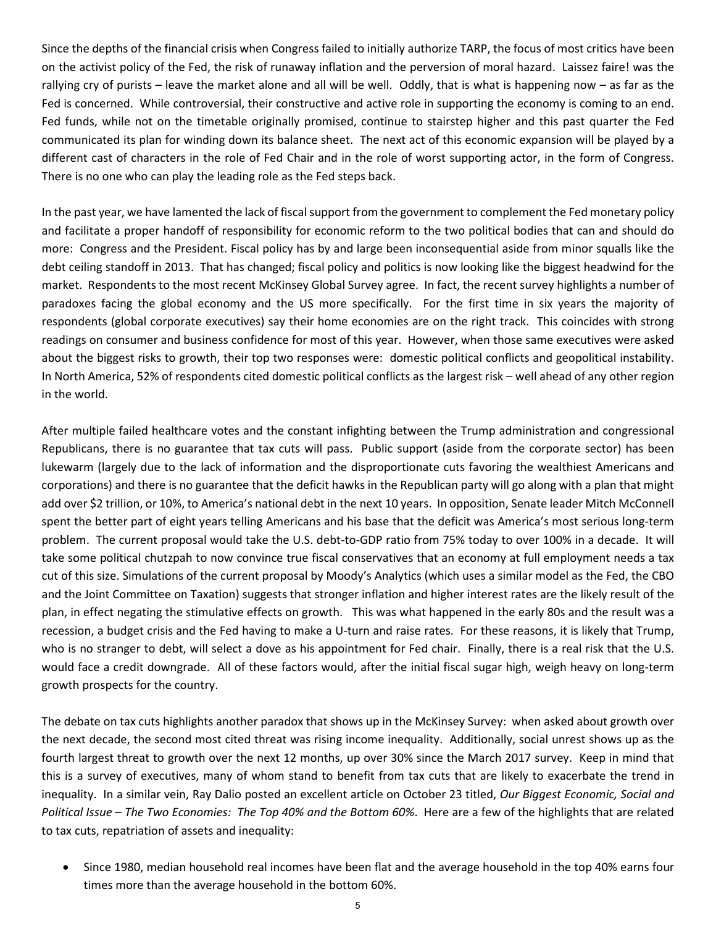Since the depths of the financial crisis when Congress failed to initially authorize TARP, the focus of most critics have been on the activist policy of the Fed, the risk of runaway inflation and the perversion of moral hazard. Laissez faire! was the rallying cry of purists – leave the market alone and all will be well. Oddly, that is what is happening now – as far as the Fed is concerned. While controversial, their constructive and active role in supporting the economy is coming to an end. Fed funds, while not on the timetable originally promised, continue to stairstep higher and this past quarter the Fed communicated its plan for winding down its balance sheet. The next act of this economic expansion will be played by a different cast of characters in the role of Fed Chair and in the role of worst supporting actor, in the form of Congress. There is no one who can play the leading role as the Fed steps back.

In the past year, we have lamented the lack of fiscal support from the government to complement the Fed monetary policy and facilitate a proper handoff of responsibility for economic reform to the two political bodies that can and should do more: Congress and the President. Fiscal policy has by and large been inconsequential aside from minor squalls like the debt ceiling standoff in 2013. That has changed; fiscal policy and politics is now looking like the biggest headwind for the market. Respondents to the most recent McKinsey Global Survey agree. In fact, the recent survey highlights a number of paradoxes facing the global economy and the US more specifically. For the first time in six years the majority of respondents (global corporate executives) say their home economies are on the right track. This coincides with strong readings on consumer and business confidence for most of this year. However, when those same executives were asked about the biggest risks to growth, their top two responses were: domestic political conflicts and geopolitical instability. In North America, 52% of respondents cited domestic political conflicts as the largest risk – well ahead of any other region in the world.

After multiple failed healthcare votes and the constant infighting between the Trump administration and congressional Republicans, there is no guarantee that tax cuts will pass. Public support (aside from the corporate sector) has been lukewarm (largely due to the lack of information and the disproportionate cuts favoring the wealthiest Americans and corporations) and there is no guarantee that the deficit hawks in the Republican party will go along with a plan that might add over \$2 trillion, or 10%, to America's national debt in the next 10 years. In opposition, Senate leader Mitch McConnell spent the better part of eight years telling Americans and his base that the deficit was America's most serious long-term problem. The current proposal would take the U.S. debt-to-GDP ratio from 75% today to over 100% in a decade. It will take some political chutzpah to now convince true fiscal conservatives that an economy at full employment needs a tax cut of this size. Simulations of the current proposal by Moody's Analytics (which uses a similar model as the Fed, the CBO and the Joint Committee on Taxation) suggests that stronger inflation and higher interest rates are the likely result of the plan, in effect negating the stimulative effects on growth. This was what happened in the early 80s and the result was a recession, a budget crisis and the Fed having to make a U-turn and raise rates. For these reasons, it is likely that Trump, who is no stranger to debt, will select a dove as his appointment for Fed chair. Finally, there is a real risk that the U.S. would face a credit downgrade. All of these factors would, after the initial fiscal sugar high, weigh heavy on long-term growth prospects for the country.

The debate on tax cuts highlights another paradox that shows up in the McKinsey Survey: when asked about growth over the next decade, the second most cited threat was rising income inequality. Additionally, social unrest shows up as the fourth largest threat to growth over the next 12 months, up over 30% since the March 2017 survey. Keep in mind that this is a survey of executives, many of whom stand to benefit from tax cuts that are likely to exacerbate the trend in inequality. In a similar vein, Ray Dalio posted an excellent article on October 23 titled, *Our Biggest Economic, Social and Political Issue – The Two Economies: The Top 40% and the Bottom 60%*. Here are a few of the highlights that are related to tax cuts, repatriation of assets and inequality:

• Since 1980, median household real incomes have been flat and the average household in the top 40% earns four times more than the average household in the bottom 60%.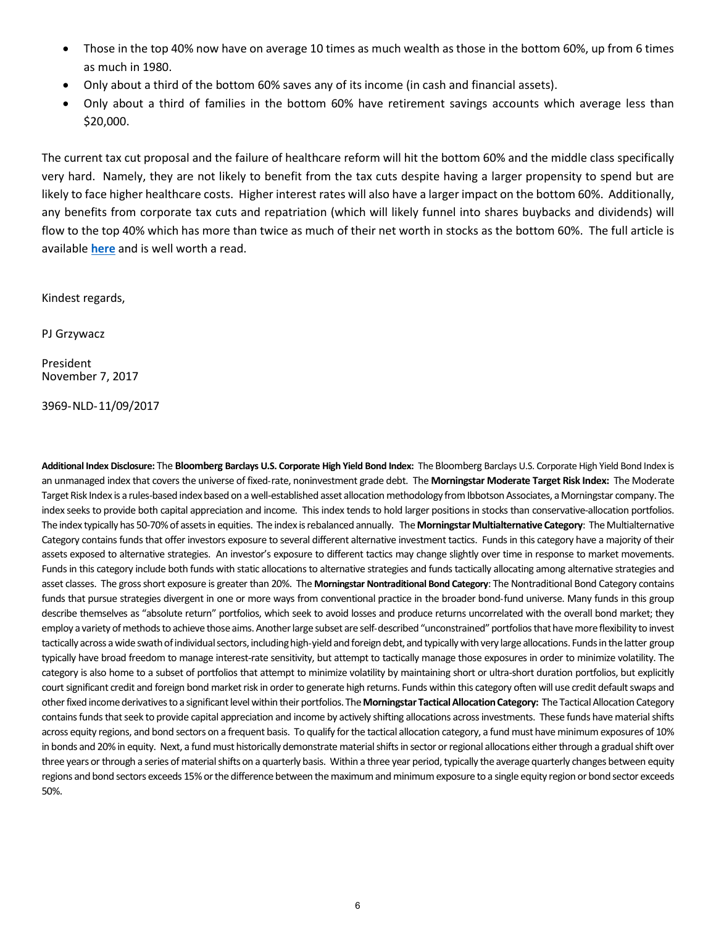- Those in the top 40% now have on average 10 times as much wealth as those in the bottom 60%, up from 6 times as much in 1980.
- Only about a third of the bottom 60% saves any of its income (in cash and financial assets).
- Only about a third of families in the bottom 60% have retirement savings accounts which average less than \$20,000.

The current tax cut proposal and the failure of healthcare reform will hit the bottom 60% and the middle class specifically very hard. Namely, they are not likely to benefit from the tax cuts despite having a larger propensity to spend but are likely to face higher healthcare costs. Higher interest rates will also have a larger impact on the bottom 60%. Additionally, any benefits from corporate tax cuts and repatriation (which will likely funnel into shares buybacks and dividends) will flow to the top 40% which has more than twice as much of their net worth in stocks as the bottom 60%. The full article is available **[here](https://www.linkedin.com/pulse/our-biggest-economic-social-political-issue-two-economies-ray-dalio/)** and is well worth a read.

Kindest regards,

PJ Grzywacz

President November 7, 2017

3969-NLD-11/09/2017

**Additional Index Disclosure:** The **Bloomberg Barclays U.S. Corporate High Yield Bond Index:** The Bloomberg Barclays U.S. Corporate High Yield Bond Index is an unmanaged index that covers the universe of fixed-rate, noninvestment grade debt. The **Morningstar Moderate Target Risk Index:** The Moderate Target Risk Index is a rules-based index based on a well-established asset allocation methodology from Ibbotson Associates, a Morningstar company. The index seeks to provide both capital appreciation and income. This index tends to hold larger positions in stocks than conservative-allocation portfolios. The index typically has 50-70% of assets in equities. The index is rebalanced annually. The **Morningstar Multialternative Category**: The Multialternative Category contains funds that offer investors exposure to several different alternative investment tactics. Funds in this category have a majority of their assets exposed to alternative strategies. An investor's exposure to different tactics may change slightly over time in response to market movements. Funds in this category include both funds with static allocations to alternative strategies and funds tactically allocating among alternative strategies and asset classes. The gross short exposure is greater than 20%. The **Morningstar Nontraditional Bond Category**: The Nontraditional Bond Category contains funds that pursue strategies divergent in one or more ways from conventional practice in the broader bond-fund universe. Many funds in this group describe themselves as "absolute return" portfolios, which seek to avoid losses and produce returns uncorrelated with the overall bond market; they employ a variety of methods to achieve those aims. Another large subset are self-described "unconstrained" portfolios that have more flexibility to invest tactically across a wide swath of individual sectors, including high-yield and foreign debt, and typically with very large allocations. Funds in the latter group typically have broad freedom to manage interest-rate sensitivity, but attempt to tactically manage those exposures in order to minimize volatility. The category is also home to a subset of portfolios that attempt to minimize volatility by maintaining short or ultra-short duration portfolios, but explicitly court significant credit and foreign bond market risk in order to generate high returns. Funds within this category often will use credit default swaps and other fixed income derivatives to a significant level within their portfolios. The **Morningstar Tactical Allocation Category:** The Tactical Allocation Category contains funds that seek to provide capital appreciation and income by actively shifting allocations across investments. These funds have material shifts across equity regions, and bond sectors on a frequent basis. To qualify for the tactical allocation category, a fund must have minimum exposures of 10% in bonds and 20% in equity. Next, a fund must historically demonstrate material shifts in sector or regional allocations either through a gradual shift over three years or through a series of material shifts on a quarterly basis. Within a three year period, typically the average quarterly changes between equity regions and bond sectors exceeds 15% or the difference between the maximum and minimum exposure to a single equity region or bond sector exceeds 50%.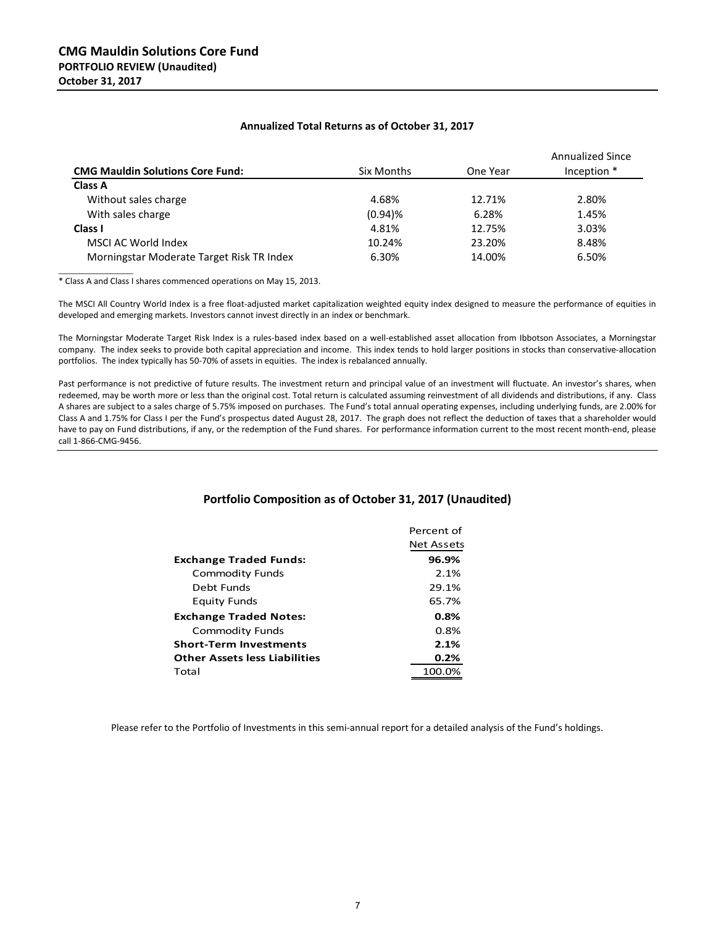#### **Annualized Total Returns as of October 31, 2017**

|                                           |            |          | <b>Annualized Since</b> |
|-------------------------------------------|------------|----------|-------------------------|
| <b>CMG Mauldin Solutions Core Fund:</b>   | Six Months | One Year | Inception *             |
| <b>Class A</b>                            |            |          |                         |
| Without sales charge                      | 4.68%      | 12.71%   | 2.80%                   |
| With sales charge                         | $(0.94)$ % | 6.28%    | 1.45%                   |
| Class I                                   | 4.81%      | 12.75%   | 3.03%                   |
| MSCI AC World Index                       | 10.24%     | 23.20%   | 8.48%                   |
| Morningstar Moderate Target Risk TR Index | 6.30%      | 14.00%   | 6.50%                   |

\_\_\_\_\_\_\_\_\_\_\_\_\_\_\_\_ \* Class A and Class I shares commenced operations on May 15, 2013.

The MSCI All Country World Index is a free float-adjusted market capitalization weighted equity index designed to measure the performance of equities in developed and emerging markets. Investors cannot invest directly in an index or benchmark.

The Morningstar Moderate Target Risk Index is a rules-based index based on a well-established asset allocation from Ibbotson Associates, a Morningstar company. The index seeks to provide both capital appreciation and income. This index tends to hold larger positions in stocks than conservative-allocation portfolios. The index typically has 50-70% of assets in equities. The index is rebalanced annually.

Past performance is not predictive of future results. The investment return and principal value of an investment will fluctuate. An investor's shares, when redeemed, may be worth more or less than the original cost. Total return is calculated assuming reinvestment of all dividends and distributions, if any. Class A shares are subject to a sales charge of 5.75% imposed on purchases. The Fund's total annual operating expenses, including underlying funds, are 2.00% for Class A and 1.75% for Class I per the Fund's prospectus dated August 28, 2017. The graph does not reflect the deduction of taxes that a shareholder would have to pay on Fund distributions, if any, or the redemption of the Fund shares. For performance information current to the most recent month-end, please call 1-866-CMG-9456.

#### **Portfolio Composition as of October 31, 2017 (Unaudited)**

|                                      | Percent of |
|--------------------------------------|------------|
|                                      | Net Assets |
| Exchange Traded Funds:               | 96.9%      |
| Commodity Funds                      | 2.1%       |
| Debt Funds                           | 29.1%      |
| <b>Equity Funds</b>                  | 65.7%      |
| <b>Exchange Traded Notes:</b>        | 0.8%       |
| <b>Commodity Funds</b>               | 0.8%       |
| Short-Term Investments               | 2.1%       |
| <b>Other Assets less Liabilities</b> | 0.2%       |
| Total                                | 100.0%     |

Please refer to the Portfolio of Investments in this semi-annual report for a detailed analysis of the Fund's holdings.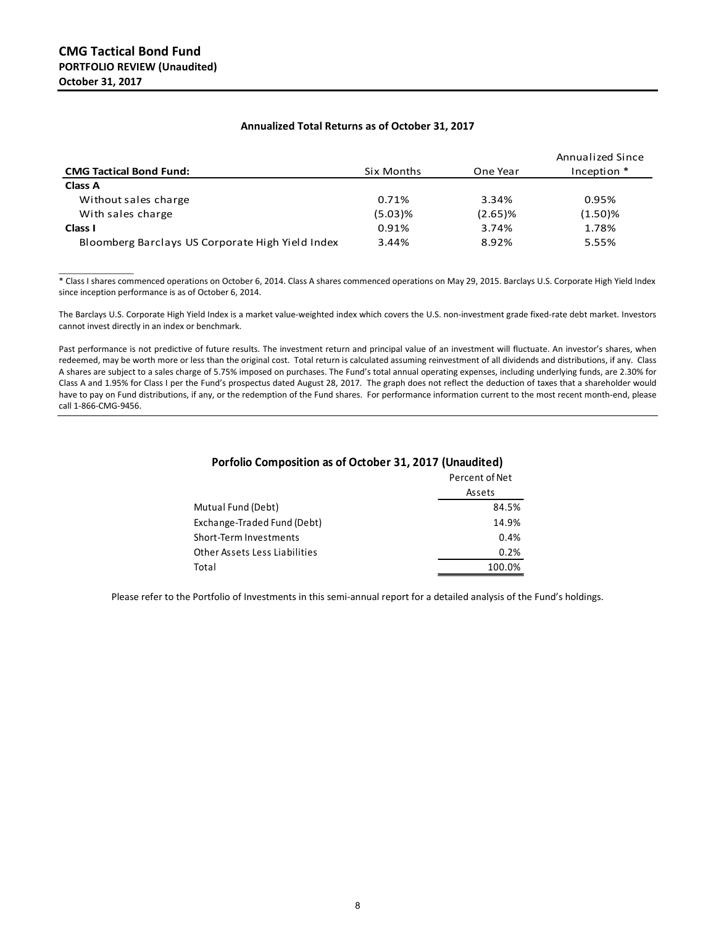$\overline{\phantom{a}}$  , where  $\overline{\phantom{a}}$ 

|                                                  |            |            | Annualized Since |
|--------------------------------------------------|------------|------------|------------------|
| <b>CMG Tactical Bond Fund:</b>                   | Six Months | One Year   | Inception *      |
| <b>Class A</b>                                   |            |            |                  |
| Without sales charge                             | 0.71%      | 3.34%      | 0.95%            |
| With sales charge                                | $(5.03)$ % | $(2.65)$ % | $(1.50)$ %       |
| Class I                                          | 0.91%      | 3.74%      | 1.78%            |
| Bloomberg Barclays US Corporate High Yield Index | 3.44%      | 8.92%      | 5.55%            |

\* Class I shares commenced operations on October 6, 2014. Class A shares commenced operations on May 29, 2015. Barclays U.S. Corporate High Yield Index since inception performance is as of October 6, 2014.

The Barclays U.S. Corporate High Yield Index is a market value-weighted index which covers the U.S. non-investment grade fixed-rate debt market. Investors cannot invest directly in an index or benchmark.

Past performance is not predictive of future results. The investment return and principal value of an investment will fluctuate. An investor's shares, when redeemed, may be worth more or less than the original cost. Total return is calculated assuming reinvestment of all dividends and distributions, if any. Class A shares are subject to a sales charge of 5.75% imposed on purchases. The Fund's total annual operating expenses, including underlying funds, are 2.30% for Class A and 1.95% for Class I per the Fund's prospectus dated August 28, 2017. The graph does not reflect the deduction of taxes that a shareholder would have to pay on Fund distributions, if any, or the redemption of the Fund shares. For performance information current to the most recent month-end, please call 1-866-CMG-9456.

|                               | Percent of Net |
|-------------------------------|----------------|
|                               | Assets         |
| Mutual Fund (Debt)            | 84.5%          |
| Exchange-Traded Fund (Debt)   | 14.9%          |
| Short-Term Investments        | 0.4%           |
| Other Assets Less Liabilities | 0.2%           |
| Total                         | 100.0%         |

#### Percent of Net **Porfolio Composition as of October 31, 2017 (Unaudited)**

Please refer to the Portfolio of Investments in this semi-annual report for a detailed analysis of the Fund's holdings.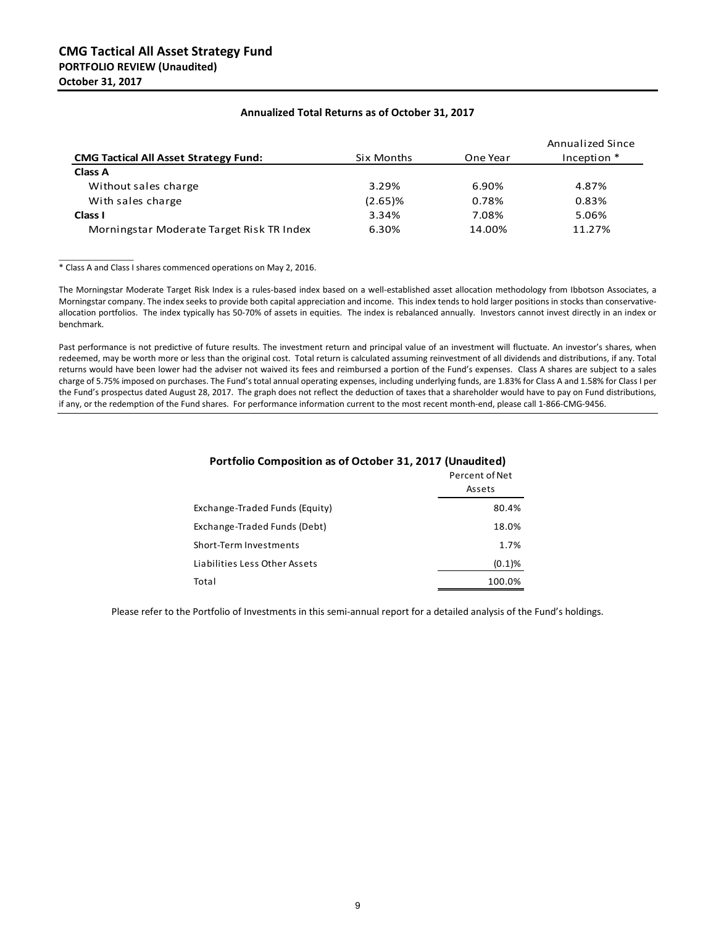| <b>CMG Tactical All Asset Strategy Fund:</b> | Six Months | One Year | Annualized Since<br>Inception * |
|----------------------------------------------|------------|----------|---------------------------------|
| Class A                                      |            |          |                                 |
| Without sales charge                         | 3.29%      | 6.90%    | 4.87%                           |
| With sales charge                            | $(2.65)$ % | 0.78%    | 0.83%                           |
| Class I                                      | 3.34%      | 7.08%    | 5.06%                           |
| Morningstar Moderate Target Risk TR Index    | 6.30%      | 14.00%   | 11.27%                          |

#### **Annualized Total Returns as of October 31, 2017**

\* Class A and Class I shares commenced operations on May 2, 2016.

 $\overline{\phantom{a}}$  , where  $\overline{\phantom{a}}$ 

The Morningstar Moderate Target Risk Index is a rules-based index based on a well-established asset allocation methodology from Ibbotson Associates, a Morningstar company. The index seeks to provide both capital appreciation and income. This index tends to hold larger positions in stocks than conservativeallocation portfolios. The index typically has 50-70% of assets in equities. The index is rebalanced annually. Investors cannot invest directly in an index or benchmark.

Past performance is not predictive of future results. The investment return and principal value of an investment will fluctuate. An investor's shares, when redeemed, may be worth more or less than the original cost. Total return is calculated assuming reinvestment of all dividends and distributions, if any. Total returns would have been lower had the adviser not waived its fees and reimbursed a portion of the Fund's expenses. Class A shares are subject to a sales charge of 5.75% imposed on purchases. The Fund's total annual operating expenses, including underlying funds, are 1.83% for Class A and 1.58% for Class I per the Fund's prospectus dated August 28, 2017. The graph does not reflect the deduction of taxes that a shareholder would have to pay on Fund distributions, if any, or the redemption of the Fund shares. For performance information current to the most recent month-end, please call 1-866-CMG-9456.

|                                | FEILEIIL UI IVEL |
|--------------------------------|------------------|
|                                | Assets           |
| Exchange-Traded Funds (Equity) | 80.4%            |
| Exchange-Traded Funds (Debt)   | 18.0%            |
| Short-Term Investments         | 1.7%             |
| Liabilities Less Other Assets  | (0.1)%           |
| Total                          | 100.0%           |

#### **Portfolio Composition as of October 31, 2017 (Unaudited)**

Percent of Net

Please refer to the Portfolio of Investments in this semi-annual report for a detailed analysis of the Fund's holdings.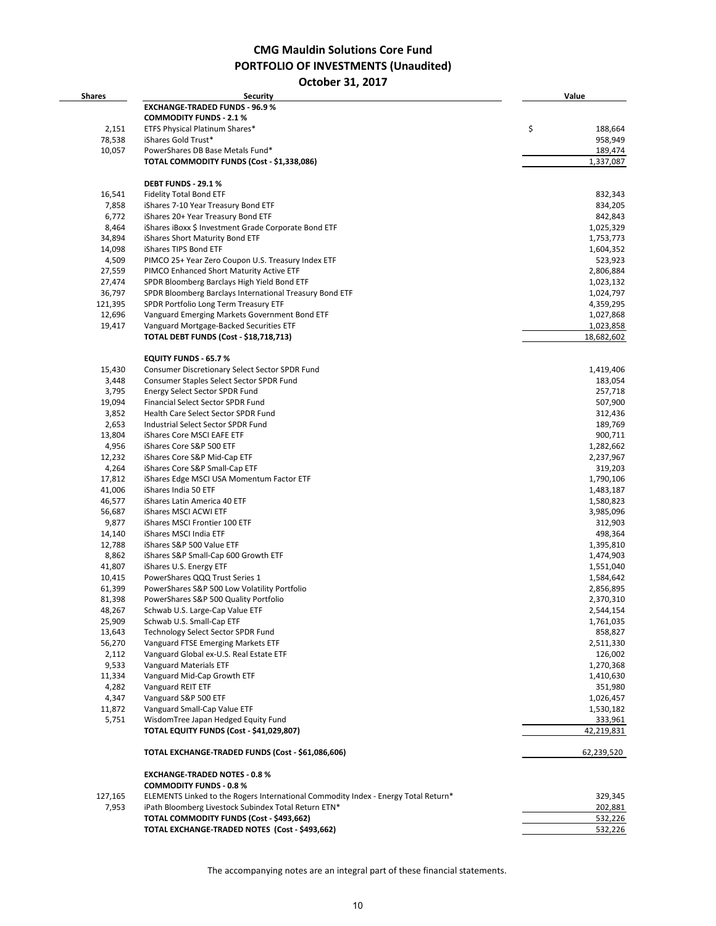**CMG Mauldin Solutions Core Fund PORTFOLIO OF INVESTMENTS (Unaudited)**

**October 31, 2017**

| <b>Shares</b> | Security                                                                           | Value         |
|---------------|------------------------------------------------------------------------------------|---------------|
|               | <b>EXCHANGE-TRADED FUNDS - 96.9 %</b>                                              |               |
|               | <b>COMMODITY FUNDS - 2.1 %</b>                                                     |               |
| 2,151         | ETFS Physical Platinum Shares*                                                     | \$<br>188,664 |
| 78,538        | iShares Gold Trust*                                                                | 958,949       |
|               |                                                                                    |               |
| 10,057        | PowerShares DB Base Metals Fund*                                                   | 189,474       |
|               | TOTAL COMMODITY FUNDS (Cost - \$1,338,086)                                         | 1,337,087     |
|               | DEBT FUNDS - 29.1 %                                                                |               |
| 16,541        | <b>Fidelity Total Bond ETF</b>                                                     | 832,343       |
| 7,858         | iShares 7-10 Year Treasury Bond ETF                                                | 834,205       |
| 6,772         | iShares 20+ Year Treasury Bond ETF                                                 | 842,843       |
| 8,464         | iShares iBoxx \$ Investment Grade Corporate Bond ETF                               | 1,025,329     |
| 34,894        | iShares Short Maturity Bond ETF                                                    | 1,753,773     |
| 14,098        | iShares TIPS Bond ETF                                                              | 1,604,352     |
| 4,509         | PIMCO 25+ Year Zero Coupon U.S. Treasury Index ETF                                 | 523,923       |
| 27,559        | PIMCO Enhanced Short Maturity Active ETF                                           | 2,806,884     |
| 27,474        | SPDR Bloomberg Barclays High Yield Bond ETF                                        | 1,023,132     |
| 36,797        | SPDR Bloomberg Barclays International Treasury Bond ETF                            | 1,024,797     |
| 121,395       | SPDR Portfolio Long Term Treasury ETF                                              | 4,359,295     |
| 12,696        |                                                                                    |               |
|               | Vanguard Emerging Markets Government Bond ETF                                      | 1,027,868     |
| 19,417        | Vanguard Mortgage-Backed Securities ETF                                            | 1,023,858     |
|               | <b>TOTAL DEBT FUNDS (Cost - \$18,718,713)</b>                                      | 18,682,602    |
|               | <b>EQUITY FUNDS - 65.7 %</b>                                                       |               |
| 15,430        | Consumer Discretionary Select Sector SPDR Fund                                     | 1,419,406     |
| 3,448         | Consumer Staples Select Sector SPDR Fund                                           | 183,054       |
| 3,795         | Energy Select Sector SPDR Fund                                                     | 257,718       |
| 19,094        | Financial Select Sector SPDR Fund                                                  | 507,900       |
| 3,852         | Health Care Select Sector SPDR Fund                                                | 312,436       |
| 2,653         | Industrial Select Sector SPDR Fund                                                 | 189,769       |
| 13,804        | iShares Core MSCI EAFE ETF                                                         | 900,711       |
| 4,956         | iShares Core S&P 500 ETF                                                           | 1,282,662     |
| 12,232        | iShares Core S&P Mid-Cap ETF                                                       | 2,237,967     |
| 4,264         | iShares Core S&P Small-Cap ETF                                                     | 319,203       |
| 17,812        | iShares Edge MSCI USA Momentum Factor ETF                                          | 1,790,106     |
| 41,006        | iShares India 50 ETF                                                               | 1,483,187     |
| 46,577        | iShares Latin America 40 ETF                                                       | 1,580,823     |
| 56,687        | iShares MSCI ACWI ETF                                                              | 3,985,096     |
|               |                                                                                    |               |
| 9,877         | iShares MSCI Frontier 100 ETF                                                      | 312,903       |
| 14,140        | iShares MSCI India ETF                                                             | 498,364       |
| 12,788        | iShares S&P 500 Value ETF                                                          | 1,395,810     |
| 8,862         | iShares S&P Small-Cap 600 Growth ETF                                               | 1,474,903     |
| 41,807        | iShares U.S. Energy ETF                                                            | 1,551,040     |
| 10,415        | PowerShares QQQ Trust Series 1                                                     | 1,584,642     |
| 61,399        | PowerShares S&P 500 Low Volatility Portfolio                                       | 2,856,895     |
| 81,398        | PowerShares S&P 500 Quality Portfolio                                              | 2,370,310     |
| 48,267        | Schwab U.S. Large-Cap Value ETF                                                    | 2,544,154     |
| 25,909        | Schwab U.S. Small-Cap ETF                                                          | 1,761,035     |
| 13,643        | Technology Select Sector SPDR Fund                                                 | 858,827       |
| 56,270        | Vanguard FTSE Emerging Markets ETF                                                 | 2,511,330     |
| 2,112         | Vanguard Global ex-U.S. Real Estate ETF                                            | 126,002       |
| 9,533         | Vanguard Materials ETF                                                             | 1,270,368     |
| 11,334        | Vanguard Mid-Cap Growth ETF                                                        | 1,410,630     |
| 4,282         | Vanguard REIT ETF                                                                  | 351,980       |
| 4,347         | Vanguard S&P 500 ETF                                                               |               |
|               |                                                                                    | 1,026,457     |
| 11,872        | Vanguard Small-Cap Value ETF                                                       | 1,530,182     |
| 5,751         | WisdomTree Japan Hedged Equity Fund                                                | 333,961       |
|               | TOTAL EQUITY FUNDS (Cost - \$41,029,807)                                           | 42,219,831    |
|               | TOTAL EXCHANGE-TRADED FUNDS (Cost - \$61,086,606)                                  | 62,239,520    |
|               | <b>EXCHANGE-TRADED NOTES - 0.8 %</b>                                               |               |
|               | <b>COMMODITY FUNDS - 0.8 %</b>                                                     |               |
| 127,165       | ELEMENTS Linked to the Rogers International Commodity Index - Energy Total Return* | 329,345       |
| 7,953         | iPath Bloomberg Livestock Subindex Total Return ETN*                               | 202,881       |
|               | TOTAL COMMODITY FUNDS (Cost - \$493,662)                                           | 532,226       |
|               | TOTAL EXCHANGE-TRADED NOTES (Cost - \$493,662)                                     | 532,226       |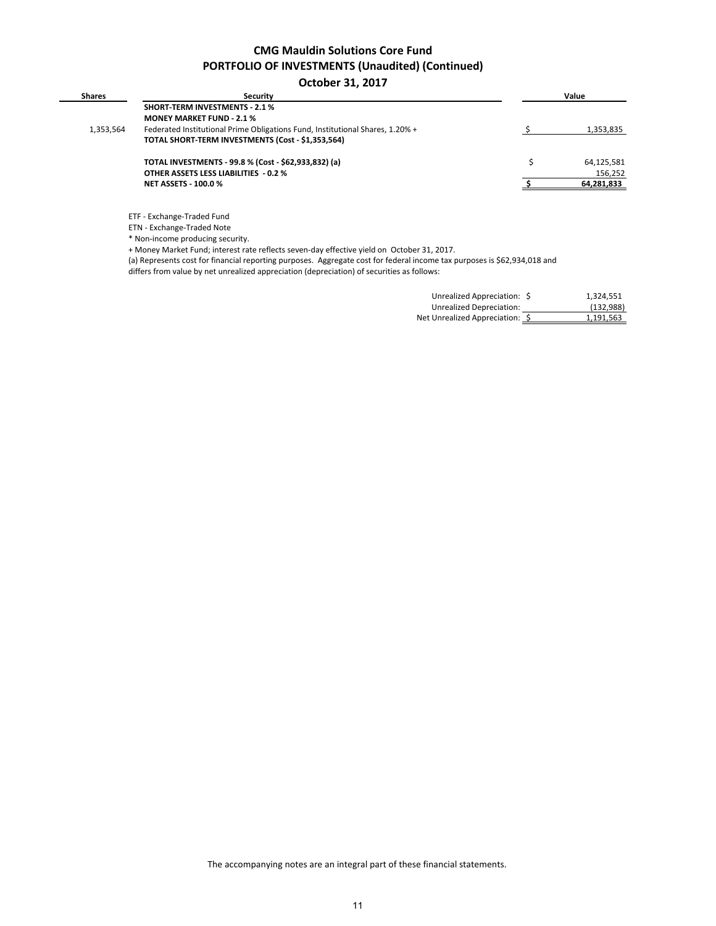## **CMG Mauldin Solutions Core Fund PORTFOLIO OF INVESTMENTS (Unaudited) (Continued)**

#### **October 31, 2017**

| <b>Shares</b> | <b>Security</b>                                                               | Value      |
|---------------|-------------------------------------------------------------------------------|------------|
|               | <b>SHORT-TERM INVESTMENTS - 2.1 %</b>                                         |            |
|               | <b>MONEY MARKET FUND - 2.1 %</b>                                              |            |
| 1,353,564     | Federated Institutional Prime Obligations Fund, Institutional Shares, 1.20% + | 1,353,835  |
|               | TOTAL SHORT-TERM INVESTMENTS (Cost - \$1,353,564)                             |            |
|               | TOTAL INVESTMENTS - 99.8 % (Cost - \$62,933,832) (a)                          | 64,125,581 |
|               | <b>OTHER ASSETS LESS LIABILITIES - 0.2 %</b>                                  | 156,252    |
|               | <b>NET ASSETS - 100.0 %</b>                                                   | 64,281,833 |

ETF - Exchange-Traded Fund

ETN - Exchange-Traded Note

\* Non-income producing security.

+ Money Market Fund; interest rate reflects seven-day effective yield on October 31, 2017.

(a) Represents cost for financial reporting purposes. Aggregate cost for federal income tax purposes is \$62,934,018 and

differs from value by net unrealized appreciation (depreciation) of securities as follows:

| Unrealized Appreciation: \$     | 1,324,551 |
|---------------------------------|-----------|
| Unrealized Depreciation:        | (132,988) |
| Net Unrealized Appreciation: \$ | 1,191,563 |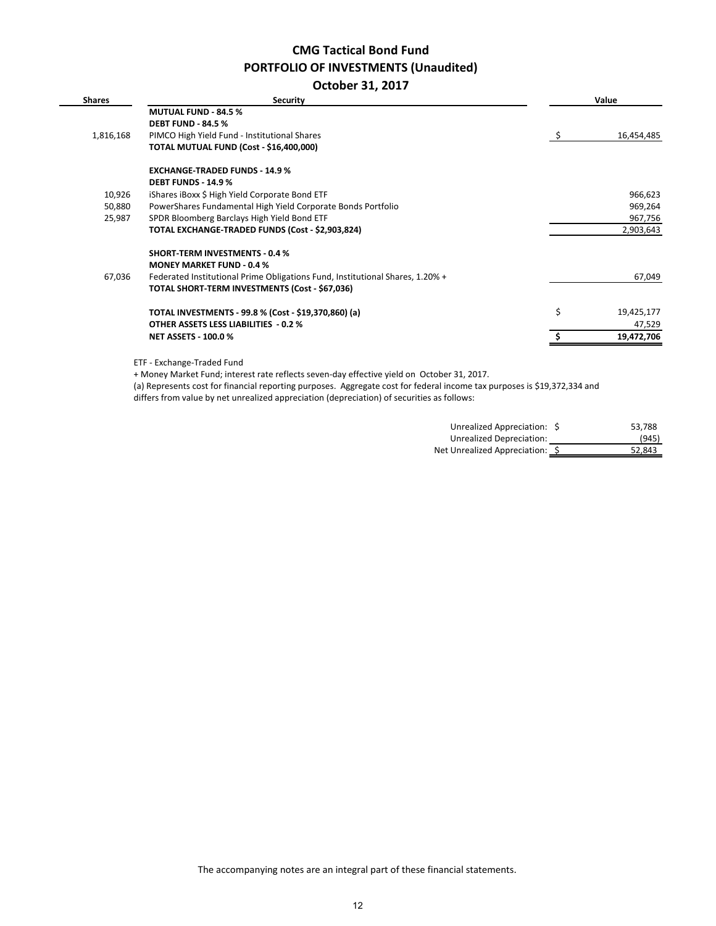# **CMG Tactical Bond Fund PORTFOLIO OF INVESTMENTS (Unaudited)**

**October 31, 2017**

| <b>Shares</b> | Security                                                                      |    | Value      |
|---------------|-------------------------------------------------------------------------------|----|------------|
|               | <b>MUTUAL FUND - 84.5 %</b>                                                   |    |            |
|               | <b>DEBT FUND - 84.5 %</b>                                                     |    |            |
| 1,816,168     | PIMCO High Yield Fund - Institutional Shares                                  | S. | 16,454,485 |
|               | TOTAL MUTUAL FUND (Cost - \$16,400,000)                                       |    |            |
|               | <b>EXCHANGE-TRADED FUNDS - 14.9 %</b>                                         |    |            |
|               | <b>DEBT FUNDS - 14.9 %</b>                                                    |    |            |
| 10,926        | iShares iBoxx \$ High Yield Corporate Bond ETF                                |    | 966,623    |
| 50,880        | PowerShares Fundamental High Yield Corporate Bonds Portfolio                  |    | 969,264    |
| 25,987        | SPDR Bloomberg Barclays High Yield Bond ETF                                   |    | 967,756    |
|               | TOTAL EXCHANGE-TRADED FUNDS (Cost - \$2,903,824)                              |    | 2,903,643  |
|               | <b>SHORT-TERM INVESTMENTS - 0.4 %</b>                                         |    |            |
|               | <b>MONEY MARKET FUND - 0.4 %</b>                                              |    |            |
| 67,036        | Federated Institutional Prime Obligations Fund, Institutional Shares, 1.20% + |    | 67,049     |
|               | TOTAL SHORT-TERM INVESTMENTS (Cost - \$67,036)                                |    |            |
|               | TOTAL INVESTMENTS - 99.8 % (Cost - \$19,370,860) (a)                          | \$ | 19,425,177 |
|               | <b>OTHER ASSETS LESS LIABILITIES - 0.2 %</b>                                  |    | 47,529     |
|               | <b>NET ASSETS - 100.0 %</b>                                                   |    | 19,472,706 |
|               | ETF - Exchange-Traded Fund                                                    |    |            |

+ Money Market Fund; interest rate reflects seven-day effective yield on October 31, 2017.

(a) Represents cost for financial reporting purposes. Aggregate cost for federal income tax purposes is \$19,372,334 and differs from value by net unrealized appreciation (depreciation) of securities as follows:

| Unrealized Appreciation: \$    | 53.788 |
|--------------------------------|--------|
| Unrealized Depreciation:       | (945)  |
| Net Unrealized Appreciation: S | 52.843 |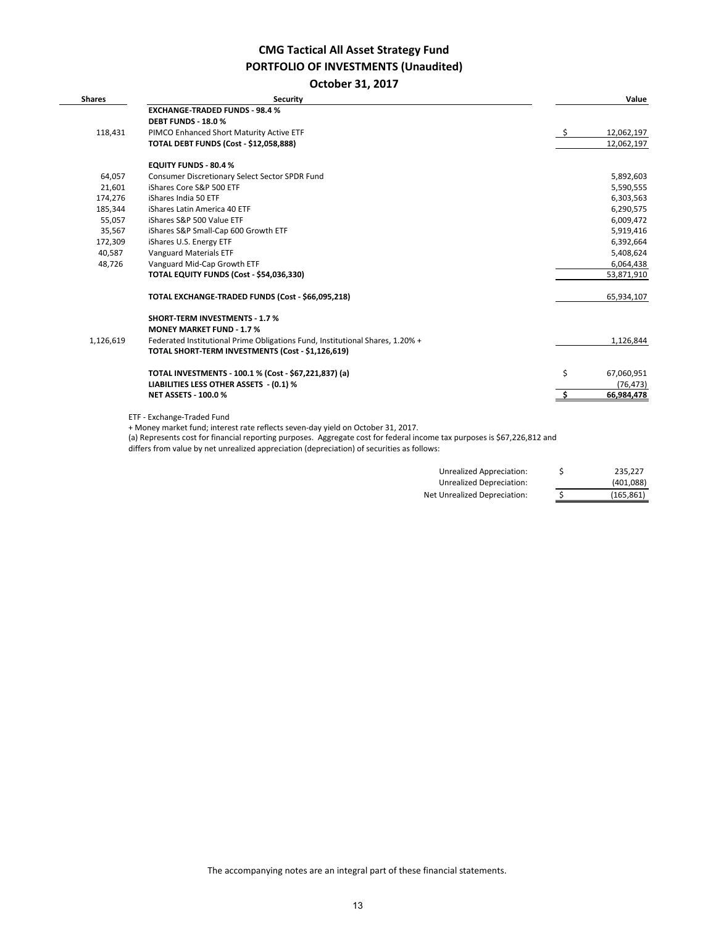## **CMG Tactical All Asset Strategy Fund PORTFOLIO OF INVESTMENTS (Unaudited)**

#### **October 31, 2017**

| <b>Shares</b> | <b>Security</b>                                                                                                          |     | Value      |
|---------------|--------------------------------------------------------------------------------------------------------------------------|-----|------------|
|               | <b>EXCHANGE-TRADED FUNDS - 98.4 %</b>                                                                                    |     |            |
|               | <b>DEBT FUNDS - 18.0 %</b>                                                                                               |     |            |
| 118,431       | PIMCO Enhanced Short Maturity Active ETF                                                                                 | - S | 12,062,197 |
|               | <b>TOTAL DEBT FUNDS (Cost - \$12,058,888)</b>                                                                            |     | 12,062,197 |
|               | <b>EQUITY FUNDS - 80.4 %</b>                                                                                             |     |            |
| 64,057        | Consumer Discretionary Select Sector SPDR Fund                                                                           |     | 5,892,603  |
| 21,601        | iShares Core S&P 500 ETF                                                                                                 |     | 5,590,555  |
| 174,276       | iShares India 50 ETF                                                                                                     |     | 6,303,563  |
| 185,344       | iShares Latin America 40 ETF                                                                                             |     | 6,290,575  |
| 55,057        | iShares S&P 500 Value ETF                                                                                                |     | 6,009,472  |
| 35,567        | iShares S&P Small-Cap 600 Growth ETF                                                                                     |     | 5,919,416  |
| 172,309       | iShares U.S. Energy ETF                                                                                                  |     | 6,392,664  |
| 40,587        | <b>Vanguard Materials ETF</b>                                                                                            |     | 5,408,624  |
| 48,726        | Vanguard Mid-Cap Growth ETF                                                                                              |     | 6,064,438  |
|               | TOTAL EQUITY FUNDS (Cost - \$54,036,330)                                                                                 |     | 53,871,910 |
|               | TOTAL EXCHANGE-TRADED FUNDS (Cost - \$66,095,218)                                                                        |     | 65,934,107 |
|               | <b>SHORT-TERM INVESTMENTS - 1.7 %</b>                                                                                    |     |            |
|               | <b>MONEY MARKET FUND - 1.7 %</b>                                                                                         |     |            |
| 1,126,619     | Federated Institutional Prime Obligations Fund, Institutional Shares, 1.20% +                                            |     | 1,126,844  |
|               | TOTAL SHORT-TERM INVESTMENTS (Cost - \$1,126,619)                                                                        |     |            |
|               | TOTAL INVESTMENTS - 100.1 % (Cost - \$67,221,837) (a)                                                                    | \$  | 67,060,951 |
|               | LIABILITIES LESS OTHER ASSETS - (0.1) %                                                                                  |     | (76, 473)  |
|               | <b>NET ASSETS - 100.0 %</b>                                                                                              |     | 66,984,478 |
|               | ETF - Exchange-Traded Fund                                                                                               |     |            |
|               | + Money market fund; interest rate reflects seven-day yield on October 31, 2017.                                         |     |            |
|               | (a) Represents cost for financial reporting purposes. Aggregate cost for federal income tax purposes is \$67,226,812 and |     |            |
|               | the contract of the contract of the contract of the contract of the contract of the contract of the contract of          |     |            |

differs from value by net unrealized appreciation (depreciation) of securities as follows:

| Unrealized Appreciation:     | S | 235.227    |
|------------------------------|---|------------|
| Unrealized Depreciation:     |   | (401,088)  |
| Net Unrealized Depreciation: | S | (165, 861) |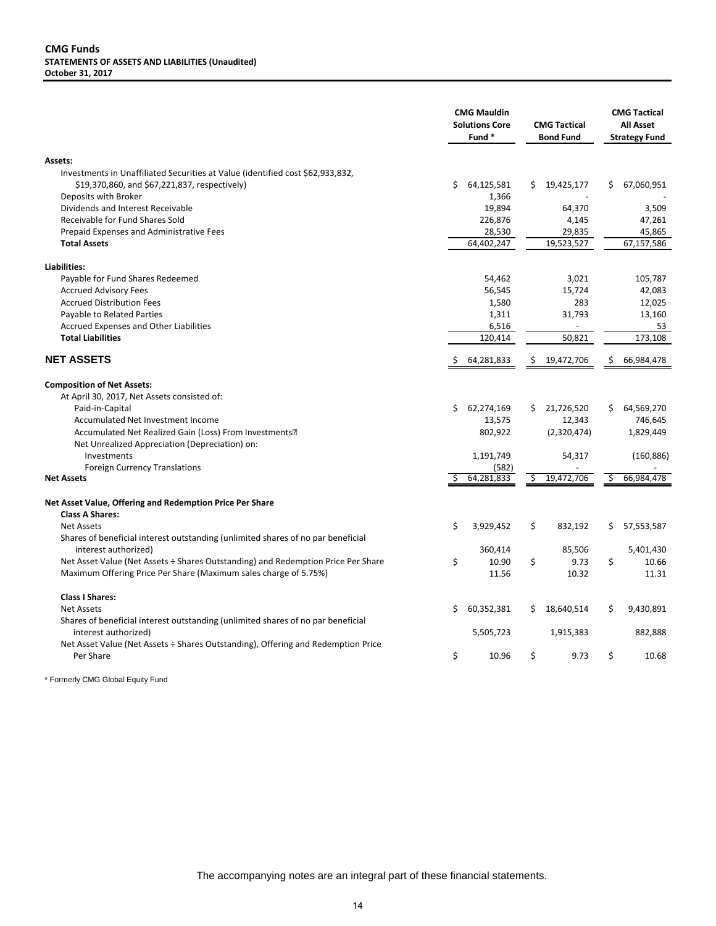#### **CMG Funds STATEMENTS OF ASSETS AND LIABILITIES (Unaudited) October 31, 2017**

|                                                                                                                                 |    | <b>CMG Mauldin</b><br><b>Solutions Core</b><br>Fund* |     | <b>CMG Tactical</b><br><b>Bond Fund</b> |    | <b>CMG Tactical</b><br><b>All Asset</b><br><b>Strategy Fund</b> |
|---------------------------------------------------------------------------------------------------------------------------------|----|------------------------------------------------------|-----|-----------------------------------------|----|-----------------------------------------------------------------|
| <b>Assets:</b>                                                                                                                  |    |                                                      |     |                                         |    |                                                                 |
| Investments in Unaffiliated Securities at Value (identified cost \$62,933,832,<br>\$19,370,860, and \$67,221,837, respectively) | \$ | 64,125,581                                           | \$. | 19,425,177                              | \$ | 67,060,951                                                      |
| Deposits with Broker<br>Dividends and Interest Receivable                                                                       |    | 1,366<br>19,894                                      |     | 64,370                                  |    | 3,509                                                           |
| Receivable for Fund Shares Sold                                                                                                 |    | 226,876                                              |     | 4,145                                   |    | 47,261                                                          |
| Prepaid Expenses and Administrative Fees                                                                                        |    | 28,530                                               |     | 29,835                                  |    | 45,865                                                          |
| <b>Total Assets</b>                                                                                                             |    | 64,402,247                                           |     | 19,523,527                              |    | 67,157,586                                                      |
| Liabilities:                                                                                                                    |    |                                                      |     |                                         |    |                                                                 |
| Payable for Fund Shares Redeemed                                                                                                |    | 54,462                                               |     | 3,021                                   |    | 105,787                                                         |
| <b>Accrued Advisory Fees</b>                                                                                                    |    | 56,545                                               |     | 15,724                                  |    | 42,083                                                          |
| <b>Accrued Distribution Fees</b>                                                                                                |    | 1,580                                                |     | 283                                     |    | 12,025                                                          |
| Payable to Related Parties                                                                                                      |    | 1,311                                                |     | 31,793                                  |    | 13,160                                                          |
| Accrued Expenses and Other Liabilities<br><b>Total Liabilities</b>                                                              |    | 6,516<br>120,414                                     |     | 50,821                                  |    | 53<br>173,108                                                   |
|                                                                                                                                 |    |                                                      |     |                                         |    |                                                                 |
| <b>NET ASSETS</b>                                                                                                               | Ŝ  | 64,281,833                                           | \$  | 19,472,706                              | \$ | 66,984,478                                                      |
| <b>Composition of Net Assets:</b>                                                                                               |    |                                                      |     |                                         |    |                                                                 |
| At April 30, 2017, Net Assets consisted of:                                                                                     |    |                                                      |     |                                         |    |                                                                 |
| Paid-in-Capital                                                                                                                 | Ś. | 62,274,169                                           | Ś.  | 21,726,520                              | Ś  | 64,569,270                                                      |
| Accumulated Net Investment Income                                                                                               |    | 13,575                                               |     | 12,343                                  |    | 746,645                                                         |
| Accumulated Net Realized Gain (Loss) From Investments <sup>[2]</sup>                                                            |    | 802,922                                              |     | (2,320,474)                             |    | 1,829,449                                                       |
| Net Unrealized Appreciation (Depreciation) on:<br>Investments                                                                   |    | 1,191,749                                            |     | 54,317                                  |    | (160, 886)                                                      |
| <b>Foreign Currency Translations</b>                                                                                            |    | (582)                                                |     |                                         |    |                                                                 |
| <b>Net Assets</b>                                                                                                               |    | 64,281,833                                           | Ŝ   | 19,472,706                              | Ŝ. | 66,984,478                                                      |
| Net Asset Value, Offering and Redemption Price Per Share                                                                        |    |                                                      |     |                                         |    |                                                                 |
| <b>Class A Shares:</b>                                                                                                          |    |                                                      |     |                                         |    |                                                                 |
| <b>Net Assets</b>                                                                                                               | \$ | 3,929,452                                            | \$  | 832,192                                 | \$ | 57,553,587                                                      |
| Shares of beneficial interest outstanding (unlimited shares of no par beneficial<br>interest authorized)                        |    | 360,414                                              |     | 85,506                                  |    | 5,401,430                                                       |
| Net Asset Value (Net Assets ÷ Shares Outstanding) and Redemption Price Per Share                                                | \$ | 10.90                                                | \$  | 9.73                                    | \$ | 10.66                                                           |
| Maximum Offering Price Per Share (Maximum sales charge of 5.75%)                                                                |    | 11.56                                                |     | 10.32                                   |    | 11.31                                                           |
| <b>Class I Shares:</b>                                                                                                          |    |                                                      |     |                                         |    |                                                                 |
| <b>Net Assets</b>                                                                                                               | \$ | 60,352,381                                           | \$  | 18,640,514                              | \$ | 9,430,891                                                       |
| Shares of beneficial interest outstanding (unlimited shares of no par beneficial<br>interest authorized)                        |    | 5,505,723                                            |     | 1,915,383                               |    | 882,888                                                         |
| Net Asset Value (Net Assets ÷ Shares Outstanding), Offering and Redemption Price<br>Per Share                                   | \$ | 10.96                                                | \$  | 9.73                                    | \$ | 10.68                                                           |
|                                                                                                                                 |    |                                                      |     |                                         |    |                                                                 |

\* Formerly CMG Global Equity Fund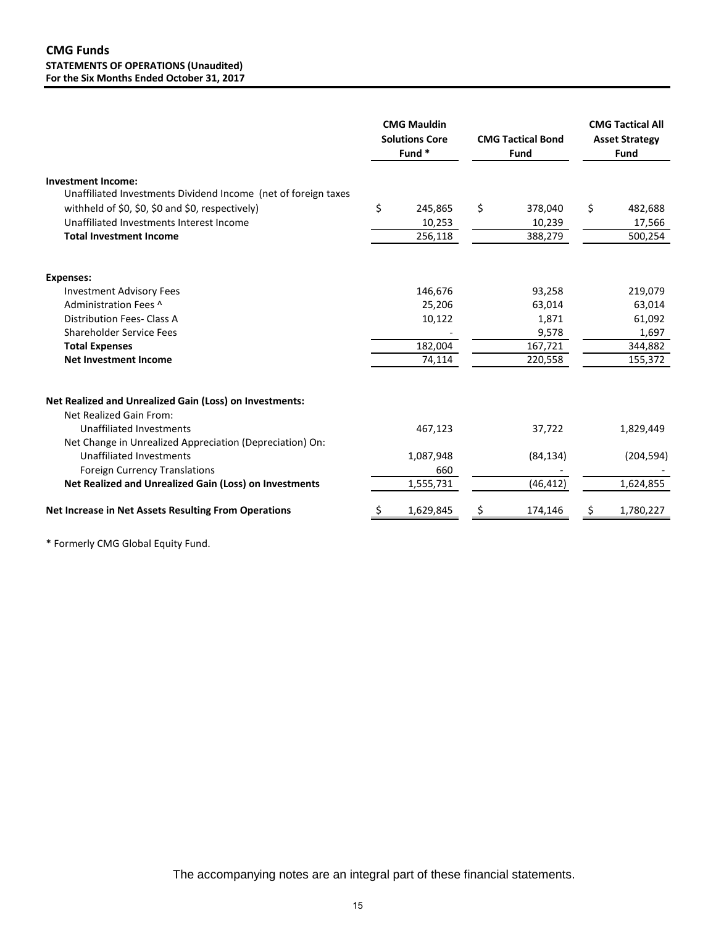|                                                                                                                                                                                                                                                                                                                               | <b>CMG Mauldin</b><br><b>Solutions Core</b><br>Fund <sup>*</sup> |                                                  | <b>CMG Tactical Bond</b><br>Fund |                                                          | <b>CMG Tactical All</b><br><b>Asset Strategy</b><br>Fund   |
|-------------------------------------------------------------------------------------------------------------------------------------------------------------------------------------------------------------------------------------------------------------------------------------------------------------------------------|------------------------------------------------------------------|--------------------------------------------------|----------------------------------|----------------------------------------------------------|------------------------------------------------------------|
| <b>Investment Income:</b><br>Unaffiliated Investments Dividend Income (net of foreign taxes<br>withheld of \$0, \$0, \$0 and \$0, respectively)<br>Unaffiliated Investments Interest Income<br><b>Total Investment Income</b>                                                                                                 |                                                                  | 245,865<br>10,253<br>256,118                     | \$                               | 378,040<br>10,239<br>388,279                             | \$<br>482,688<br>17,566<br>500,254                         |
| <b>Expenses:</b><br><b>Investment Advisory Fees</b><br>Administration Fees ^<br><b>Distribution Fees- Class A</b><br><b>Shareholder Service Fees</b><br><b>Total Expenses</b><br><b>Net Investment Income</b>                                                                                                                 |                                                                  | 146,676<br>25,206<br>10,122<br>182,004<br>74,114 |                                  | 93,258<br>63,014<br>1,871<br>9,578<br>167,721<br>220,558 | 219,079<br>63,014<br>61,092<br>1,697<br>344,882<br>155,372 |
| <b>Net Realized and Unrealized Gain (Loss) on Investments:</b><br>Net Realized Gain From:<br><b>Unaffiliated Investments</b><br>Net Change in Unrealized Appreciation (Depreciation) On:<br><b>Unaffiliated Investments</b><br><b>Foreign Currency Translations</b><br>Net Realized and Unrealized Gain (Loss) on Investments |                                                                  | 467,123<br>1,087,948<br>660<br>1,555,731         |                                  | 37,722<br>(84, 134)<br>(46, 412)                         | 1,829,449<br>(204, 594)<br>1,624,855                       |
| <b>Net Increase in Net Assets Resulting From Operations</b>                                                                                                                                                                                                                                                                   |                                                                  | 1,629,845                                        | \$                               | 174,146                                                  | 1,780,227                                                  |

\* Formerly CMG Global Equity Fund.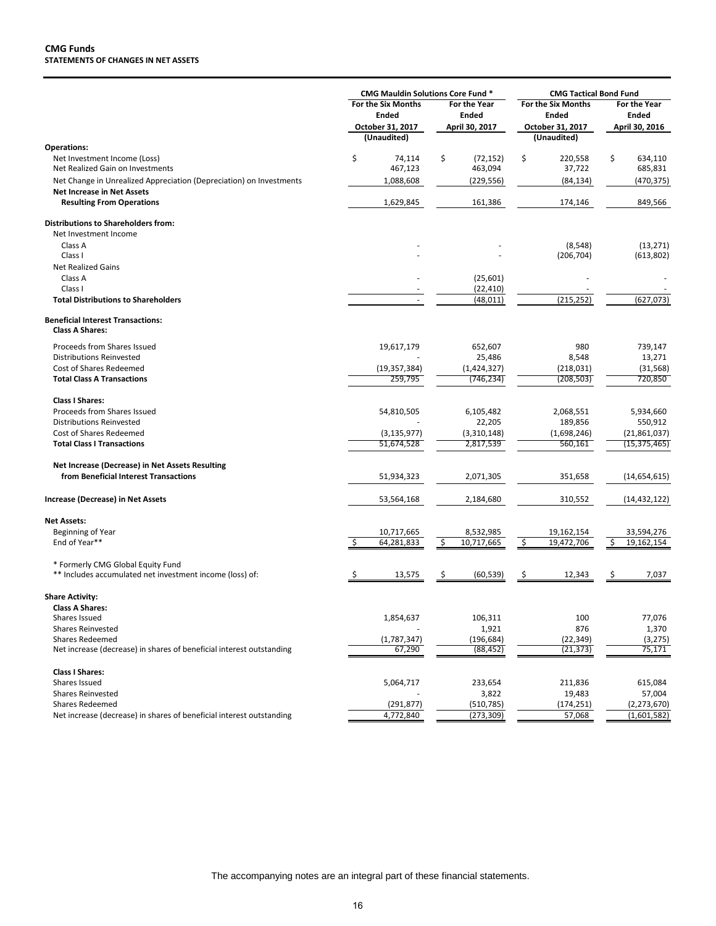|                                                                                                                                         | <b>CMG Mauldin Solutions Core Fund *</b>                              |                                                       | <b>CMG Tactical Bond Fund</b>                                                |                                                |
|-----------------------------------------------------------------------------------------------------------------------------------------|-----------------------------------------------------------------------|-------------------------------------------------------|------------------------------------------------------------------------------|------------------------------------------------|
|                                                                                                                                         | <b>For the Six Months</b><br>Ended<br>October 31, 2017<br>(Unaudited) | <b>For the Year</b><br><b>Ended</b><br>April 30, 2017 | <b>For the Six Months</b><br><b>Ended</b><br>October 31, 2017<br>(Unaudited) | <b>For the Year</b><br>Ended<br>April 30, 2016 |
| <b>Operations:</b>                                                                                                                      |                                                                       |                                                       |                                                                              |                                                |
| Net Investment Income (Loss)<br>Net Realized Gain on Investments<br>Net Change in Unrealized Appreciation (Depreciation) on Investments | \$<br>74,114<br>467,123<br>1,088,608                                  | \$<br>(72, 152)<br>463,094<br>(229, 556)              | \$<br>220,558<br>37,722<br>(84, 134)                                         | \$<br>634,110<br>685,831<br>(470,375)          |
| <b>Net Increase in Net Assets</b><br><b>Resulting From Operations</b>                                                                   | 1,629,845                                                             | 161,386                                               | 174,146                                                                      | 849,566                                        |
|                                                                                                                                         |                                                                       |                                                       |                                                                              |                                                |
| <b>Distributions to Shareholders from:</b><br>Net Investment Income                                                                     |                                                                       |                                                       |                                                                              |                                                |
| Class A                                                                                                                                 |                                                                       |                                                       | (8, 548)                                                                     | (13, 271)                                      |
| Class I                                                                                                                                 |                                                                       |                                                       | (206, 704)                                                                   | (613,802)                                      |
| <b>Net Realized Gains</b>                                                                                                               |                                                                       |                                                       |                                                                              |                                                |
| Class A                                                                                                                                 |                                                                       | (25, 601)                                             |                                                                              |                                                |
| Class I                                                                                                                                 |                                                                       | (22, 410)                                             |                                                                              |                                                |
| <b>Total Distributions to Shareholders</b>                                                                                              | ٠                                                                     | (48, 011)                                             | (215, 252)                                                                   | (627, 073)                                     |
| <b>Beneficial Interest Transactions:</b><br><b>Class A Shares:</b>                                                                      |                                                                       |                                                       |                                                                              |                                                |
| Proceeds from Shares Issued                                                                                                             | 19,617,179                                                            | 652,607                                               | 980                                                                          | 739,147                                        |
| <b>Distributions Reinvested</b>                                                                                                         |                                                                       | 25,486                                                | 8,548                                                                        | 13,271                                         |
| Cost of Shares Redeemed                                                                                                                 | (19, 357, 384)                                                        | (1,424,327)                                           | (218,031)                                                                    | (31, 568)                                      |
| <b>Total Class A Transactions</b>                                                                                                       | 259,795                                                               | (746,234)                                             | (208, 503)                                                                   | 720,850                                        |
| <b>Class I Shares:</b>                                                                                                                  |                                                                       |                                                       |                                                                              |                                                |
| Proceeds from Shares Issued                                                                                                             | 54,810,505                                                            | 6,105,482                                             | 2,068,551                                                                    | 5,934,660                                      |
| <b>Distributions Reinvested</b>                                                                                                         |                                                                       | 22,205                                                | 189,856                                                                      | 550,912                                        |
| Cost of Shares Redeemed                                                                                                                 | (3, 135, 977)                                                         | (3,310,148)                                           | (1,698,246)                                                                  | (21,861,037)                                   |
| <b>Total Class I Transactions</b>                                                                                                       | 51,674,528                                                            | 2,817,539                                             | 560,161                                                                      | (15, 375, 465)                                 |
| Net Increase (Decrease) in Net Assets Resulting                                                                                         |                                                                       |                                                       |                                                                              |                                                |
| from Beneficial Interest Transactions                                                                                                   | 51,934,323                                                            | 2,071,305                                             | 351,658                                                                      | (14,654,615)                                   |
| Increase (Decrease) in Net Assets                                                                                                       | 53,564,168                                                            | 2,184,680                                             | 310,552                                                                      | (14,432,122)                                   |
| <b>Net Assets:</b>                                                                                                                      |                                                                       |                                                       |                                                                              |                                                |
| Beginning of Year                                                                                                                       | 10,717,665                                                            | 8,532,985                                             | 19,162,154                                                                   | 33,594,276                                     |
| End of Year**                                                                                                                           | 64,281,833                                                            | 10,717,665<br>\$                                      | 19,472,706<br>\$                                                             | 19,162,154<br>\$                               |
| * Formerly CMG Global Equity Fund<br>** Includes accumulated net investment income (loss) of:                                           | 13,575<br>Ş                                                           | \$<br>(60, 539)                                       | 12,343<br>\$                                                                 | 7,037<br>\$                                    |
| <b>Share Activity:</b><br><b>Class A Shares:</b>                                                                                        |                                                                       |                                                       |                                                                              |                                                |
| Shares Issued                                                                                                                           | 1,854,637                                                             | 106,311                                               | 100                                                                          | 77,076                                         |
| <b>Shares Reinvested</b>                                                                                                                |                                                                       | 1,921                                                 | 876                                                                          | 1,370                                          |
| <b>Shares Redeemed</b>                                                                                                                  | (1,787,347)                                                           | (196, 684)                                            | (22, 349)                                                                    | (3, 275)                                       |
| Net increase (decrease) in shares of beneficial interest outstanding                                                                    | 67,290                                                                | (88, 452)                                             | (21, 373)                                                                    | 75,171                                         |
| <b>Class I Shares:</b>                                                                                                                  |                                                                       |                                                       |                                                                              |                                                |
| Shares Issued                                                                                                                           | 5,064,717                                                             | 233,654                                               | 211,836                                                                      | 615,084                                        |
| <b>Shares Reinvested</b>                                                                                                                |                                                                       | 3,822                                                 | 19,483                                                                       | 57,004                                         |
| <b>Shares Redeemed</b>                                                                                                                  | (291, 877)                                                            | (510, 785)                                            | (174, 251)                                                                   | (2, 273, 670)                                  |
| Net increase (decrease) in shares of beneficial interest outstanding                                                                    | 4,772,840                                                             | (273,309)                                             | 57,068                                                                       | (1,601,582)                                    |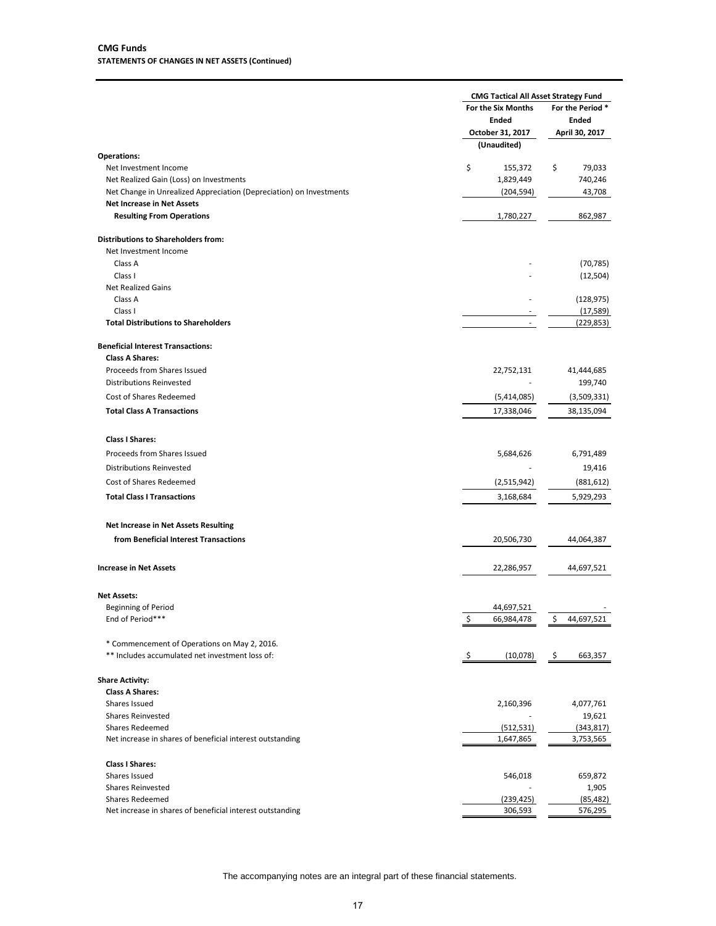|                                                                     | <b>CMG Tactical All Asset Strategy Fund</b> |                 |
|---------------------------------------------------------------------|---------------------------------------------|-----------------|
|                                                                     | For the Six Months                          | For the Period* |
|                                                                     | <b>Ended</b>                                | <b>Ended</b>    |
|                                                                     | October 31, 2017                            | April 30, 2017  |
|                                                                     | (Unaudited)                                 |                 |
| <b>Operations:</b>                                                  |                                             |                 |
| Net Investment Income                                               | \$<br>155,372                               | \$<br>79,033    |
| Net Realized Gain (Loss) on Investments                             | 1,829,449                                   | 740,246         |
| Net Change in Unrealized Appreciation (Depreciation) on Investments | (204, 594)                                  | 43,708          |
| <b>Net Increase in Net Assets</b>                                   |                                             |                 |
| <b>Resulting From Operations</b>                                    | 1,780,227                                   | 862,987         |
|                                                                     |                                             |                 |
| <b>Distributions to Shareholders from:</b>                          |                                             |                 |
| Net Investment Income                                               |                                             |                 |
| Class A                                                             |                                             | (70, 785)       |
| Class I                                                             |                                             | (12,504)        |
| <b>Net Realized Gains</b>                                           |                                             |                 |
| Class A                                                             |                                             | (128, 975)      |
| Class I                                                             |                                             | (17, 589)       |
| <b>Total Distributions to Shareholders</b>                          |                                             | (229,853)       |
|                                                                     |                                             |                 |
| <b>Beneficial Interest Transactions:</b>                            |                                             |                 |
| <b>Class A Shares:</b>                                              |                                             |                 |
| Proceeds from Shares Issued                                         | 22,752,131                                  | 41,444,685      |
| <b>Distributions Reinvested</b>                                     |                                             | 199,740         |
| Cost of Shares Redeemed                                             | (5,414,085)                                 | (3,509,331)     |
| <b>Total Class A Transactions</b>                                   | 17,338,046                                  | 38,135,094      |
|                                                                     |                                             |                 |
| <b>Class I Shares:</b>                                              |                                             |                 |
| Proceeds from Shares Issued                                         | 5,684,626                                   | 6,791,489       |
| <b>Distributions Reinvested</b>                                     |                                             | 19,416          |
|                                                                     |                                             |                 |
| Cost of Shares Redeemed                                             | (2,515,942)                                 | (881, 612)      |
| <b>Total Class I Transactions</b>                                   | 3,168,684                                   | 5,929,293       |
| <b>Net Increase in Net Assets Resulting</b>                         |                                             |                 |
| from Beneficial Interest Transactions                               | 20,506,730                                  | 44,064,387      |
|                                                                     |                                             |                 |
| <b>Increase in Net Assets</b>                                       | 22,286,957                                  | 44,697,521      |
|                                                                     |                                             |                 |
| <b>Net Assets:</b>                                                  |                                             |                 |
| <b>Beginning of Period</b>                                          | 44,697,521                                  |                 |
| End of Period***                                                    | 66,984,478                                  | 44,697,521      |
| * Commencement of Operations on May 2, 2016.                        |                                             |                 |
| ** Includes accumulated net investment loss of:                     | \$<br>(10,078)                              | -\$<br>663,357  |
|                                                                     |                                             |                 |
| <b>Share Activity:</b><br><b>Class A Shares:</b>                    |                                             |                 |
|                                                                     |                                             |                 |
| Shares Issued                                                       | 2,160,396                                   | 4,077,761       |
| <b>Shares Reinvested</b>                                            |                                             | 19,621          |
| <b>Shares Redeemed</b>                                              | (512, 531)                                  | (343, 817)      |
| Net increase in shares of beneficial interest outstanding           | 1,647,865                                   | 3,753,565       |
| <b>Class I Shares:</b>                                              |                                             |                 |
| Shares Issued                                                       | 546,018                                     | 659,872         |
| <b>Shares Reinvested</b>                                            |                                             | 1,905           |
| <b>Shares Redeemed</b>                                              | (239, 425)                                  | (85, 482)       |
| Net increase in shares of beneficial interest outstanding           | 306,593                                     | 576,295         |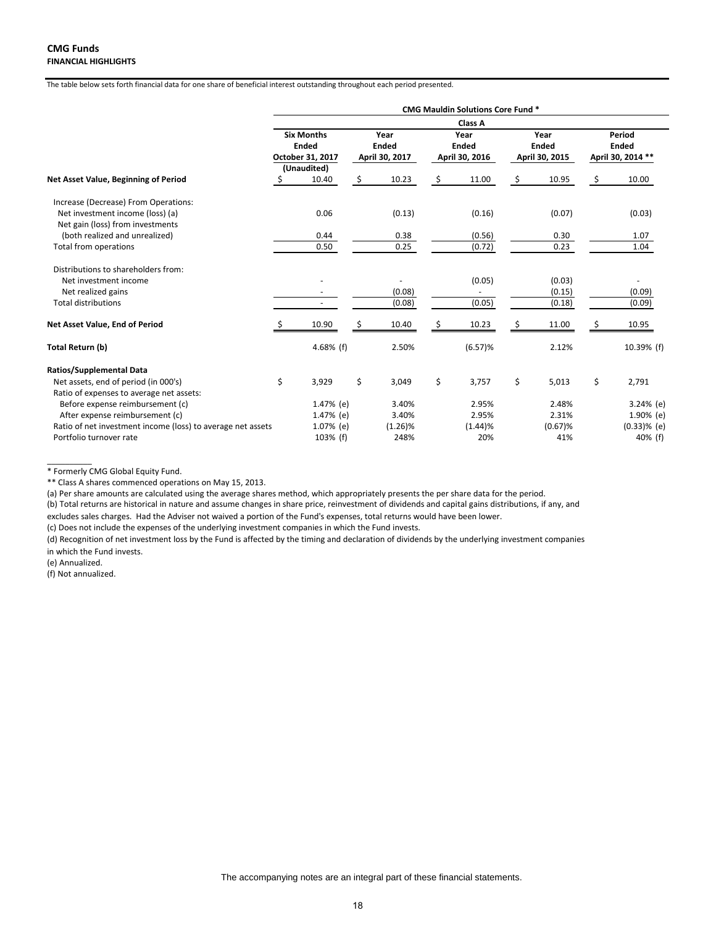|                                                             | <b>CMG Mauldin Solutions Core Fund *</b> |                   |     |                |    |                |    |                |        |                   |  |  |  |
|-------------------------------------------------------------|------------------------------------------|-------------------|-----|----------------|----|----------------|----|----------------|--------|-------------------|--|--|--|
|                                                             | Class A                                  |                   |     |                |    |                |    |                |        |                   |  |  |  |
|                                                             |                                          | <b>Six Months</b> |     | Year           |    | Year           |    | Year           | Period |                   |  |  |  |
|                                                             |                                          | <b>Ended</b>      |     | <b>Ended</b>   |    | <b>Ended</b>   |    | <b>Ended</b>   |        | <b>Ended</b>      |  |  |  |
|                                                             |                                          | October 31, 2017  |     | April 30, 2017 |    | April 30, 2016 |    | April 30, 2015 |        | April 30, 2014 ** |  |  |  |
|                                                             |                                          | (Unaudited)       |     |                |    |                |    |                |        |                   |  |  |  |
| Net Asset Value, Beginning of Period                        | \$                                       | 10.40             | \$. | 10.23          | \$ | 11.00          | \$ | 10.95          | \$     | 10.00             |  |  |  |
| Increase (Decrease) From Operations:                        |                                          |                   |     |                |    |                |    |                |        |                   |  |  |  |
| Net investment income (loss) (a)                            |                                          | 0.06              |     | (0.13)         |    | (0.16)         |    | (0.07)         |        | (0.03)            |  |  |  |
| Net gain (loss) from investments                            |                                          |                   |     |                |    |                |    |                |        |                   |  |  |  |
| (both realized and unrealized)                              |                                          | 0.44              |     | 0.38           |    | (0.56)         |    | 0.30           |        | 1.07              |  |  |  |
| Total from operations                                       |                                          | 0.50              |     | 0.25           |    | (0.72)         |    | 0.23           |        | 1.04              |  |  |  |
| Distributions to shareholders from:                         |                                          |                   |     |                |    |                |    |                |        |                   |  |  |  |
| Net investment income                                       |                                          |                   |     |                |    | (0.05)         |    | (0.03)         |        |                   |  |  |  |
| Net realized gains                                          |                                          |                   |     | (0.08)         |    |                |    | (0.15)         |        | (0.09)            |  |  |  |
| <b>Total distributions</b>                                  |                                          |                   |     | (0.08)         |    | (0.05)         |    | (0.18)         |        | (0.09)            |  |  |  |
| Net Asset Value, End of Period                              |                                          | 10.90             | Ś   | 10.40          | Ŝ  | 10.23          | Ś  | 11.00          | \$     | 10.95             |  |  |  |
| Total Return (b)                                            |                                          | 4.68% $(f)$       |     | 2.50%          |    | (6.57)%        |    | 2.12%          |        | 10.39% (f)        |  |  |  |
| <b>Ratios/Supplemental Data</b>                             |                                          |                   |     |                |    |                |    |                |        |                   |  |  |  |
| Net assets, end of period (in 000's)                        | \$                                       | 3,929             | \$  | 3,049          | \$ | 3,757          | \$ | 5,013          | \$     | 2,791             |  |  |  |
| Ratio of expenses to average net assets:                    |                                          |                   |     |                |    |                |    |                |        |                   |  |  |  |
| Before expense reimbursement (c)                            |                                          | 1.47% (e)         |     | 3.40%          |    | 2.95%          |    | 2.48%          |        | $3.24%$ (e)       |  |  |  |
| After expense reimbursement (c)                             |                                          | 1.47% (e)         |     | 3.40%          |    | 2.95%          |    | 2.31%          |        | 1.90% (e)         |  |  |  |
| Ratio of net investment income (loss) to average net assets |                                          | 1.07% (e)         |     | $(1.26)\%$     |    | (1.44)%        |    | $(0.67)$ %     |        | $(0.33)$ % (e)    |  |  |  |
| Portfolio turnover rate                                     |                                          | 103% (f)          |     | 248%           |    | 20%            |    | 41%            |        | 40% (f)           |  |  |  |

\* Formerly CMG Global Equity Fund.

\*\* Class A shares commenced operations on May 15, 2013.

(a) Per share amounts are calculated using the average shares method, which appropriately presents the per share data for the period.

(b) Total returns are historical in nature and assume changes in share price, reinvestment of dividends and capital gains distributions, if any, and

excludes sales charges. Had the Adviser not waived a portion of the Fund's expenses, total returns would have been lower.

(c) Does not include the expenses of the underlying investment companies in which the Fund invests.

(d) Recognition of net investment loss by the Fund is affected by the timing and declaration of dividends by the underlying investment companies in which the Fund invests.

(e) Annualized.

 $\overline{\phantom{a}}$  ,  $\overline{\phantom{a}}$  ,  $\overline{\phantom{a}}$  ,  $\overline{\phantom{a}}$  ,  $\overline{\phantom{a}}$  ,  $\overline{\phantom{a}}$  ,  $\overline{\phantom{a}}$  ,  $\overline{\phantom{a}}$  ,  $\overline{\phantom{a}}$  ,  $\overline{\phantom{a}}$  ,  $\overline{\phantom{a}}$  ,  $\overline{\phantom{a}}$  ,  $\overline{\phantom{a}}$  ,  $\overline{\phantom{a}}$  ,  $\overline{\phantom{a}}$  ,  $\overline{\phantom{a}}$ 

(f) Not annualized.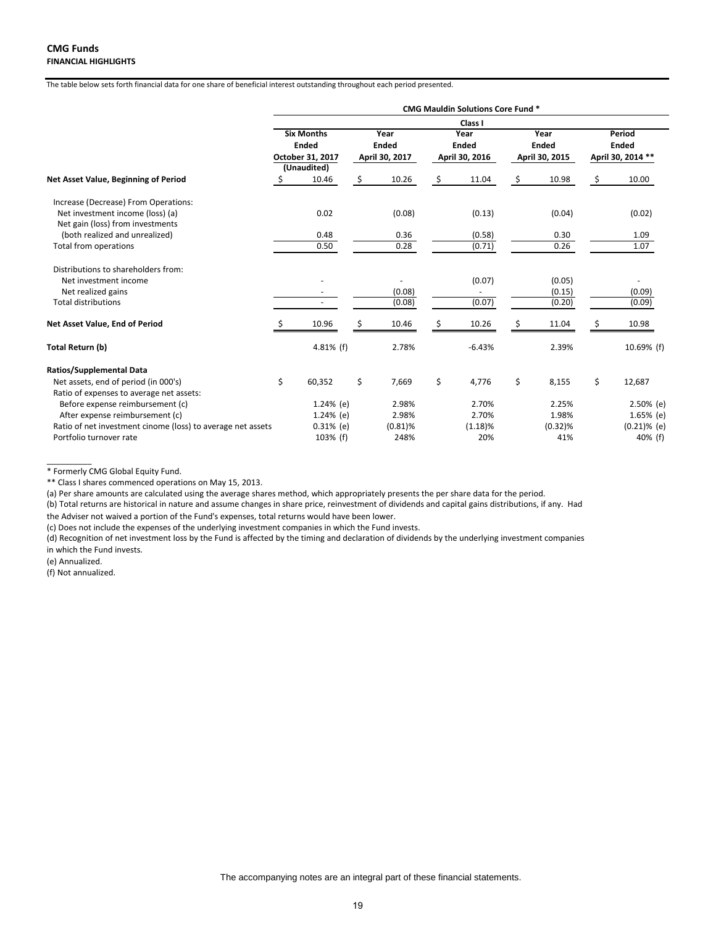|                                                                      | <b>CMG Mauldin Solutions Core Fund *</b> |                   |    |                |    |                |    |                |    |                   |
|----------------------------------------------------------------------|------------------------------------------|-------------------|----|----------------|----|----------------|----|----------------|----|-------------------|
|                                                                      |                                          |                   |    |                |    | Class I        |    |                |    |                   |
|                                                                      |                                          | <b>Six Months</b> |    | Year           |    | Year           |    | Year           |    | Period            |
|                                                                      |                                          | <b>Ended</b>      |    | <b>Ended</b>   |    | <b>Ended</b>   |    | <b>Ended</b>   |    | <b>Ended</b>      |
|                                                                      |                                          | October 31, 2017  |    | April 30, 2017 |    | April 30, 2016 |    | April 30, 2015 |    | April 30, 2014 ** |
|                                                                      |                                          | (Unaudited)       |    |                |    |                |    |                |    |                   |
| Net Asset Value, Beginning of Period                                 |                                          | 10.46             | Ś. | 10.26          | S  | 11.04          | Ś  | 10.98          | \$ | 10.00             |
| Increase (Decrease) From Operations:                                 |                                          |                   |    |                |    |                |    |                |    |                   |
| Net investment income (loss) (a)<br>Net gain (loss) from investments |                                          | 0.02              |    | (0.08)         |    | (0.13)         |    | (0.04)         |    | (0.02)            |
| (both realized and unrealized)                                       |                                          | 0.48              |    | 0.36           |    | (0.58)         |    | 0.30           |    | 1.09              |
| Total from operations                                                |                                          | 0.50              |    | 0.28           |    | (0.71)         |    | 0.26           |    | 1.07              |
| Distributions to shareholders from:                                  |                                          |                   |    |                |    |                |    |                |    |                   |
| Net investment income                                                |                                          |                   |    |                |    | (0.07)         |    | (0.05)         |    |                   |
| Net realized gains                                                   |                                          |                   |    | (0.08)         |    |                |    | (0.15)         |    | (0.09)            |
| <b>Total distributions</b>                                           |                                          |                   |    | (0.08)         |    | (0.07)         |    | (0.20)         |    | (0.09)            |
| Net Asset Value, End of Period                                       |                                          | 10.96             | Ś  | 10.46          |    | 10.26          | Ś  | 11.04          | \$ | 10.98             |
| Total Return (b)                                                     |                                          | 4.81% (f)         |    | 2.78%          |    | $-6.43%$       |    | 2.39%          |    | 10.69% (f)        |
| <b>Ratios/Supplemental Data</b>                                      |                                          |                   |    |                |    |                |    |                |    |                   |
| Net assets, end of period (in 000's)                                 | \$                                       | 60,352            | \$ | 7,669          | \$ | 4,776          | \$ | 8,155          | \$ | 12,687            |
| Ratio of expenses to average net assets:                             |                                          |                   |    |                |    |                |    |                |    |                   |
| Before expense reimbursement (c)                                     |                                          | 1.24% (e)         |    | 2.98%          |    | 2.70%          |    | 2.25%          |    | 2.50% (e)         |
| After expense reimbursement (c)                                      |                                          | 1.24% (e)         |    | 2.98%          |    | 2.70%          |    | 1.98%          |    | $1.65%$ (e)       |
| Ratio of net investment cinome (loss) to average net assets          |                                          | $0.31%$ (e)       |    | $(0.81)\%$     |    | (1.18)%        |    | $(0.32)$ %     |    | $(0.21)\%$ (e)    |
| Portfolio turnover rate                                              |                                          | 103% (f)          |    | 248%           |    | 20%            |    | 41%            |    | 40% (f)           |

\* Formerly CMG Global Equity Fund.

\*\* Class I shares commenced operations on May 15, 2013.

(a) Per share amounts are calculated using the average shares method, which appropriately presents the per share data for the period.

(b) Total returns are historical in nature and assume changes in share price, reinvestment of dividends and capital gains distributions, if any. Had the Adviser not waived a portion of the Fund's expenses, total returns would have been lower.

(c) Does not include the expenses of the underlying investment companies in which the Fund invests.

(d) Recognition of net investment loss by the Fund is affected by the timing and declaration of dividends by the underlying investment companies in which the Fund invests.

(e) Annualized.

 $\overline{\phantom{a}}$  . The contract of  $\overline{\phantom{a}}$ 

(f) Not annualized.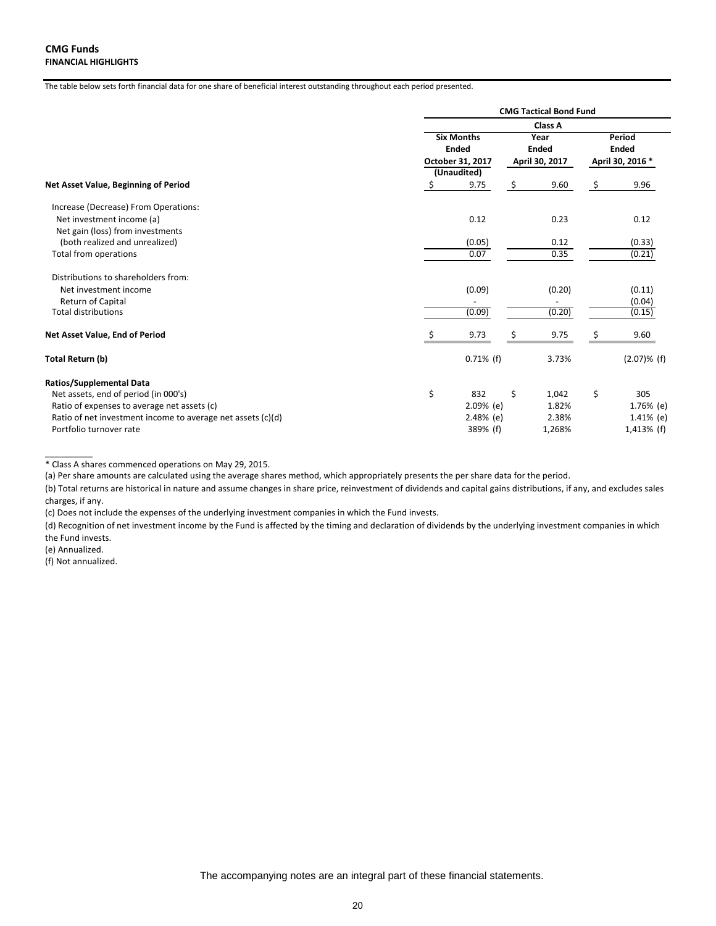|                                                                    | <b>CMG Tactical Bond Fund</b>                                        |              |                      |                |    |                        |  |
|--------------------------------------------------------------------|----------------------------------------------------------------------|--------------|----------------------|----------------|----|------------------------|--|
|                                                                    | <b>Class A</b>                                                       |              |                      |                |    |                        |  |
|                                                                    | <b>Six Months</b><br><b>Ended</b><br>October 31, 2017<br>(Unaudited) |              | Year<br><b>Ended</b> |                |    | Period<br><b>Ended</b> |  |
|                                                                    |                                                                      |              |                      | April 30, 2017 |    | April 30, 2016 *       |  |
| Net Asset Value, Beginning of Period                               |                                                                      | 9.75         | \$                   | 9.60           | \$ | 9.96                   |  |
| Increase (Decrease) From Operations:                               |                                                                      |              |                      |                |    |                        |  |
| Net investment income (a)                                          |                                                                      | 0.12         |                      | 0.23           |    | 0.12                   |  |
| Net gain (loss) from investments<br>(both realized and unrealized) |                                                                      | (0.05)       |                      | 0.12           |    | (0.33)                 |  |
| Total from operations                                              |                                                                      | 0.07         |                      | 0.35           |    | (0.21)                 |  |
| Distributions to shareholders from:                                |                                                                      |              |                      |                |    |                        |  |
| Net investment income                                              |                                                                      | (0.09)       |                      | (0.20)         |    | (0.11)                 |  |
| Return of Capital                                                  |                                                                      |              |                      |                |    | (0.04)                 |  |
| <b>Total distributions</b>                                         |                                                                      | (0.09)       |                      | (0.20)         |    | (0.15)                 |  |
| Net Asset Value, End of Period                                     |                                                                      | 9.73         | \$                   | 9.75           | \$ | 9.60                   |  |
| Total Return (b)                                                   |                                                                      | $0.71\%$ (f) |                      | 3.73%          |    | $(2.07)$ % (f)         |  |
| <b>Ratios/Supplemental Data</b>                                    |                                                                      |              |                      |                |    |                        |  |
| Net assets, end of period (in 000's)                               | \$                                                                   | 832          | \$                   | 1,042          | \$ | 305                    |  |
| Ratio of expenses to average net assets (c)                        |                                                                      | $2.09%$ (e)  |                      | 1.82%          |    | 1.76% (e)              |  |
| Ratio of net investment income to average net assets (c)(d)        |                                                                      | 2.48% (e)    |                      | 2.38%          |    | $1.41\%$ (e)           |  |
| Portfolio turnover rate                                            |                                                                      | 389% (f)     |                      | 1,268%         |    | $1,413%$ (f)           |  |

<sup>\*</sup> Class A shares commenced operations on May 29, 2015.

(a) Per share amounts are calculated using the average shares method, which appropriately presents the per share data for the period.

(b) Total returns are historical in nature and assume changes in share price, reinvestment of dividends and capital gains distributions, if any, and excludes sales charges, if any.

(c) Does not include the expenses of the underlying investment companies in which the Fund invests.

(d) Recognition of net investment income by the Fund is affected by the timing and declaration of dividends by the underlying investment companies in which the Fund invests.

(e) Annualized.

 $\overline{\phantom{a}}$ 

(f) Not annualized.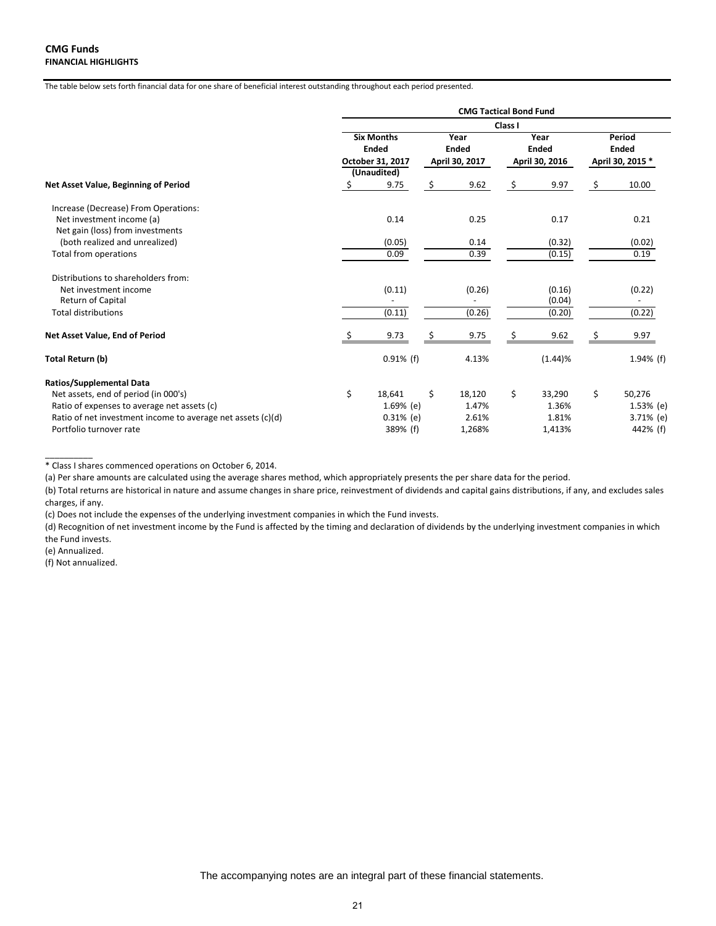| <b>CMG Tactical Bond Fund</b>                         |              |                                        |                          |                                        |         |      |                                            |  |  |  |  |
|-------------------------------------------------------|--------------|----------------------------------------|--------------------------|----------------------------------------|---------|------|--------------------------------------------|--|--|--|--|
| Class I                                               |              |                                        |                          |                                        |         |      |                                            |  |  |  |  |
| <b>Six Months</b><br><b>Ended</b><br>October 31, 2017 |              | Year<br><b>Ended</b><br>April 30, 2017 |                          | Year<br><b>Ended</b><br>April 30, 2016 |         |      | Period<br><b>Ended</b><br>April 30, 2015 * |  |  |  |  |
|                                                       |              |                                        |                          |                                        |         |      |                                            |  |  |  |  |
| S                                                     |              |                                        |                          |                                        |         |      | 10.00                                      |  |  |  |  |
|                                                       |              |                                        |                          |                                        |         |      |                                            |  |  |  |  |
|                                                       | 0.14         |                                        | 0.25                     |                                        | 0.17    |      | 0.21                                       |  |  |  |  |
|                                                       |              |                                        |                          |                                        |         |      |                                            |  |  |  |  |
|                                                       | (0.05)       |                                        | 0.14                     |                                        | (0.32)  |      | (0.02)                                     |  |  |  |  |
|                                                       | 0.09         |                                        | 0.39                     |                                        | (0.15)  |      | 0.19                                       |  |  |  |  |
|                                                       |              |                                        |                          |                                        |         |      |                                            |  |  |  |  |
|                                                       | (0.11)       |                                        | (0.26)                   |                                        | (0.16)  |      | (0.22)                                     |  |  |  |  |
|                                                       |              |                                        | $\overline{\phantom{a}}$ |                                        | (0.04)  |      |                                            |  |  |  |  |
|                                                       | (0.11)       |                                        | (0.26)                   |                                        | (0.20)  |      | (0.22)                                     |  |  |  |  |
|                                                       | 9.73         |                                        | 9.75                     |                                        | 9.62    |      | 9.97                                       |  |  |  |  |
|                                                       | $0.91\%$ (f) |                                        | 4.13%                    |                                        | (1.44)% |      | $1.94\%$ (f)                               |  |  |  |  |
|                                                       |              |                                        |                          |                                        |         |      |                                            |  |  |  |  |
| \$                                                    | 18,641       | \$                                     | 18,120                   | \$                                     | 33,290  | \$   | 50,276                                     |  |  |  |  |
|                                                       | $1.69%$ (e)  |                                        | 1.47%                    |                                        | 1.36%   |      | 1.53% (e)                                  |  |  |  |  |
|                                                       | $0.31\%$ (e) |                                        | 2.61%                    |                                        | 1.81%   |      | 3.71% (e)                                  |  |  |  |  |
|                                                       | 389% (f)     |                                        | 1,268%                   |                                        | 1,413%  |      | 442% (f)                                   |  |  |  |  |
|                                                       |              | (Unaudited)<br>9.75                    | \$                       | 9.62                                   | \$      | 9.97 | \$                                         |  |  |  |  |

<sup>\*</sup> Class I shares commenced operations on October 6, 2014.

(a) Per share amounts are calculated using the average shares method, which appropriately presents the per share data for the period.

(b) Total returns are historical in nature and assume changes in share price, reinvestment of dividends and capital gains distributions, if any, and excludes sales charges, if any.

(c) Does not include the expenses of the underlying investment companies in which the Fund invests.

(d) Recognition of net investment income by the Fund is affected by the timing and declaration of dividends by the underlying investment companies in which the Fund invests.

(e) Annualized.

 $\frac{1}{2}$ 

(f) Not annualized.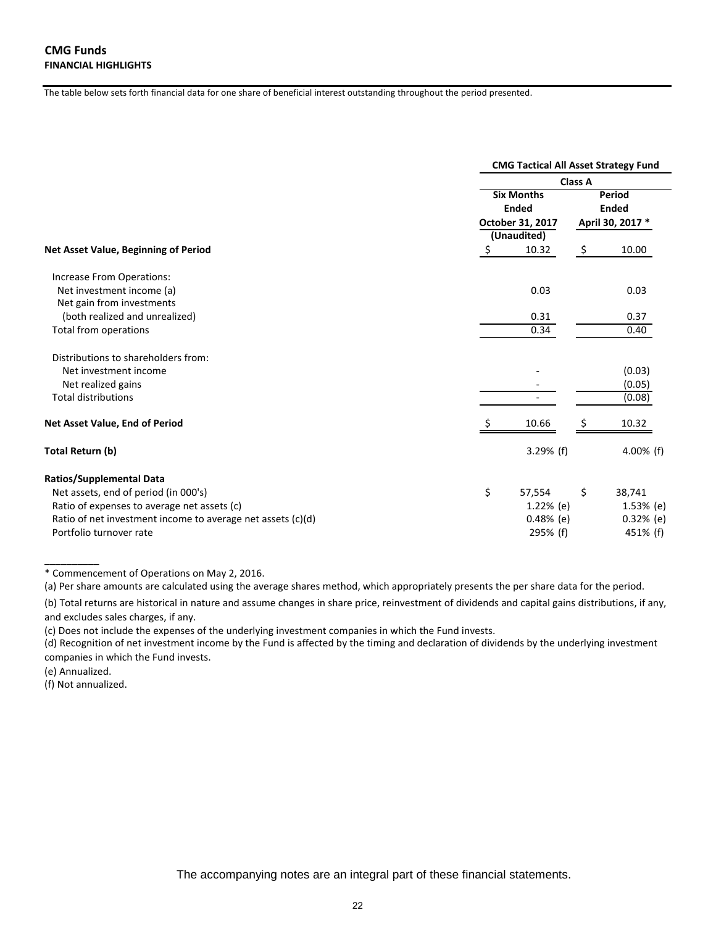|                                                             |                                   | <b>CMG Tactical All Asset Strategy Fund</b> |  |  |  |  |  |  |  |  |
|-------------------------------------------------------------|-----------------------------------|---------------------------------------------|--|--|--|--|--|--|--|--|
|                                                             |                                   | Class A                                     |  |  |  |  |  |  |  |  |
|                                                             | <b>Six Months</b><br><b>Ended</b> | Period<br><b>Ended</b>                      |  |  |  |  |  |  |  |  |
|                                                             | October 31, 2017                  | April 30, 2017 *                            |  |  |  |  |  |  |  |  |
|                                                             | (Unaudited)                       |                                             |  |  |  |  |  |  |  |  |
| Net Asset Value, Beginning of Period                        | \$<br>10.32                       | \$<br>10.00                                 |  |  |  |  |  |  |  |  |
| Increase From Operations:                                   |                                   |                                             |  |  |  |  |  |  |  |  |
| Net investment income (a)                                   | 0.03                              | 0.03                                        |  |  |  |  |  |  |  |  |
| Net gain from investments                                   |                                   |                                             |  |  |  |  |  |  |  |  |
| (both realized and unrealized)                              | 0.31                              | 0.37                                        |  |  |  |  |  |  |  |  |
| Total from operations                                       | 0.34                              | 0.40                                        |  |  |  |  |  |  |  |  |
| Distributions to shareholders from:                         |                                   |                                             |  |  |  |  |  |  |  |  |
| Net investment income                                       |                                   | (0.03)                                      |  |  |  |  |  |  |  |  |
| Net realized gains                                          |                                   | (0.05)                                      |  |  |  |  |  |  |  |  |
| <b>Total distributions</b>                                  |                                   | (0.08)                                      |  |  |  |  |  |  |  |  |
| Net Asset Value, End of Period                              | 10.66                             | 10.32<br>Ş                                  |  |  |  |  |  |  |  |  |
| Total Return (b)                                            | $3.29%$ (f)                       | 4.00% (f)                                   |  |  |  |  |  |  |  |  |
| <b>Ratios/Supplemental Data</b>                             |                                   |                                             |  |  |  |  |  |  |  |  |
| Net assets, end of period (in 000's)                        | \$<br>57,554                      | \$<br>38,741                                |  |  |  |  |  |  |  |  |
| Ratio of expenses to average net assets (c)                 | 1.22% (e)                         | $1.53%$ (e)                                 |  |  |  |  |  |  |  |  |
| Ratio of net investment income to average net assets (c)(d) | $0.48%$ (e)                       | $0.32%$ (e)                                 |  |  |  |  |  |  |  |  |
| Portfolio turnover rate                                     | 295% (f)                          | 451% (f)                                    |  |  |  |  |  |  |  |  |

\* Commencement of Operations on May 2, 2016.

(a) Per share amounts are calculated using the average shares method, which appropriately presents the per share data for the period.

(b) Total returns are historical in nature and assume changes in share price, reinvestment of dividends and capital gains distributions, if any, and excludes sales charges, if any.

(c) Does not include the expenses of the underlying investment companies in which the Fund invests.

(d) Recognition of net investment income by the Fund is affected by the timing and declaration of dividends by the underlying investment companies in which the Fund invests.

(e) Annualized.

\_\_\_\_\_\_\_\_\_\_

(f) Not annualized.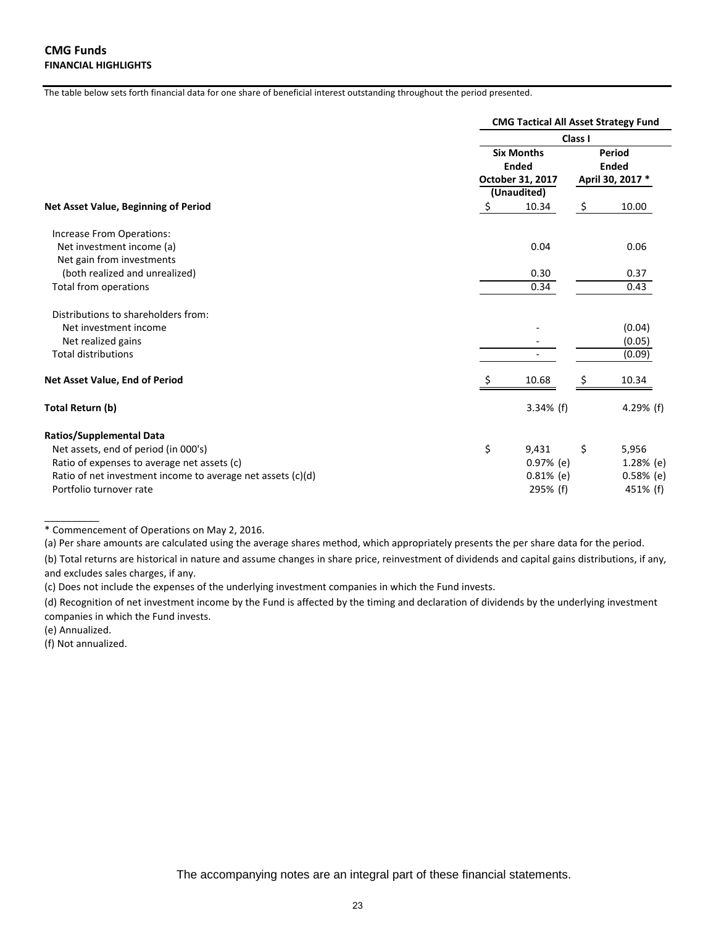|                                                             | <b>CMG Tactical All Asset Strategy Fund</b> |    |             |  |  |  |  |  |
|-------------------------------------------------------------|---------------------------------------------|----|-------------|--|--|--|--|--|
|                                                             | Class I                                     |    |             |  |  |  |  |  |
|                                                             | <b>Six Months</b><br><b>Ended</b>           |    |             |  |  |  |  |  |
| Net Asset Value, Beginning of Period                        | October 31, 2017<br>(Unaudited)             |    |             |  |  |  |  |  |
|                                                             | \$<br>10.34                                 | \$ | 10.00       |  |  |  |  |  |
| Increase From Operations:                                   |                                             |    |             |  |  |  |  |  |
| Net investment income (a)<br>Net gain from investments      | 0.04                                        |    | 0.06        |  |  |  |  |  |
| (both realized and unrealized)                              | 0.30                                        |    | 0.37        |  |  |  |  |  |
| Total from operations                                       | 0.34                                        |    | 0.43        |  |  |  |  |  |
| Distributions to shareholders from:                         |                                             |    |             |  |  |  |  |  |
| Net investment income                                       |                                             |    | (0.04)      |  |  |  |  |  |
| Net realized gains                                          |                                             |    | (0.05)      |  |  |  |  |  |
| <b>Total distributions</b>                                  |                                             |    | (0.09)      |  |  |  |  |  |
| Net Asset Value, End of Period                              | 10.68                                       |    | 10.34       |  |  |  |  |  |
| <b>Total Return (b)</b>                                     | $3.34%$ (f)                                 |    | 4.29% $(f)$ |  |  |  |  |  |
| <b>Ratios/Supplemental Data</b>                             |                                             |    |             |  |  |  |  |  |
| Net assets, end of period (in 000's)                        | \$<br>9,431                                 | \$ | 5,956       |  |  |  |  |  |
| Ratio of expenses to average net assets (c)                 | $0.97%$ (e)                                 |    | 1.28% (e)   |  |  |  |  |  |
| Ratio of net investment income to average net assets (c)(d) | $0.81\%$ (e)                                |    | $0.58%$ (e) |  |  |  |  |  |
| Portfolio turnover rate                                     | 295% (f)                                    |    | 451% (f)    |  |  |  |  |  |

\* Commencement of Operations on May 2, 2016.

(a) Per share amounts are calculated using the average shares method, which appropriately presents the per share data for the period.

(b) Total returns are historical in nature and assume changes in share price, reinvestment of dividends and capital gains distributions, if any, and excludes sales charges, if any.

(c) Does not include the expenses of the underlying investment companies in which the Fund invests.

(d) Recognition of net investment income by the Fund is affected by the timing and declaration of dividends by the underlying investment companies in which the Fund invests.

(e) Annualized.

\_\_\_\_\_\_\_\_\_\_

(f) Not annualized.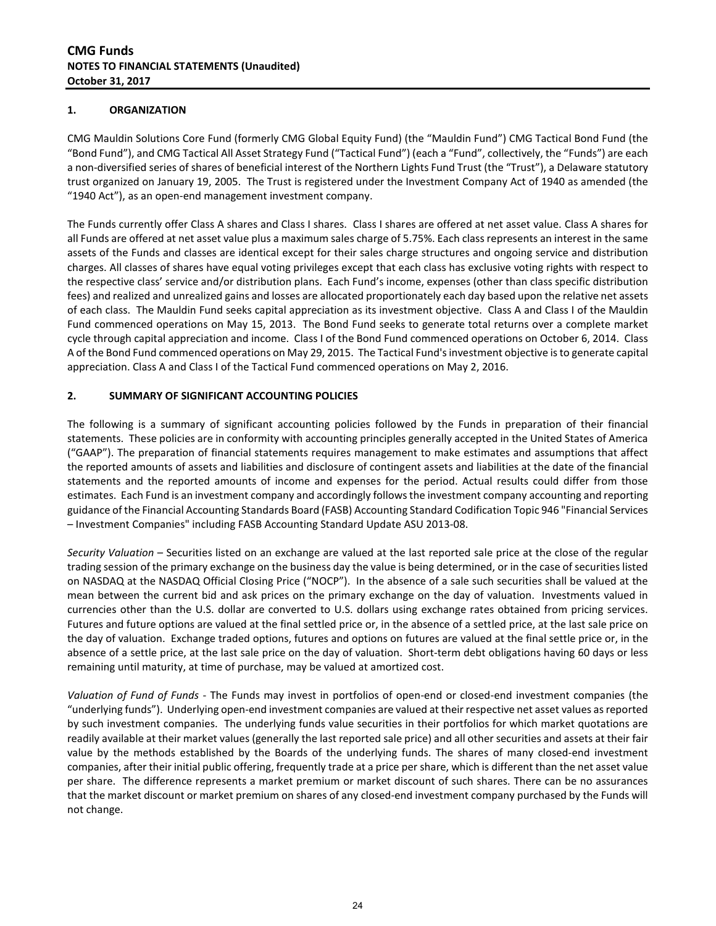#### **1. ORGANIZATION**

CMG Mauldin Solutions Core Fund (formerly CMG Global Equity Fund) (the "Mauldin Fund") CMG Tactical Bond Fund (the "Bond Fund"), and CMG Tactical All Asset Strategy Fund ("Tactical Fund") (each a "Fund", collectively, the "Funds") are each a non-diversified series of shares of beneficial interest of the Northern Lights Fund Trust (the "Trust"), a Delaware statutory trust organized on January 19, 2005. The Trust is registered under the Investment Company Act of 1940 as amended (the "1940 Act"), as an open-end management investment company.

The Funds currently offer Class A shares and Class I shares. Class I shares are offered at net asset value. Class A shares for all Funds are offered at net asset value plus a maximum sales charge of 5.75%. Each class represents an interest in the same assets of the Funds and classes are identical except for their sales charge structures and ongoing service and distribution charges. All classes of shares have equal voting privileges except that each class has exclusive voting rights with respect to the respective class' service and/or distribution plans. Each Fund's income, expenses (other than class specific distribution fees) and realized and unrealized gains and losses are allocated proportionately each day based upon the relative net assets of each class. The Mauldin Fund seeks capital appreciation as its investment objective. Class A and Class I of the Mauldin Fund commenced operations on May 15, 2013. The Bond Fund seeks to generate total returns over a complete market cycle through capital appreciation and income. Class I of the Bond Fund commenced operations on October 6, 2014. Class A of the Bond Fund commenced operations on May 29, 2015. The Tactical Fund's investment objective is to generate capital appreciation. Class A and Class I of the Tactical Fund commenced operations on May 2, 2016.

#### **2. SUMMARY OF SIGNIFICANT ACCOUNTING POLICIES**

The following is a summary of significant accounting policies followed by the Funds in preparation of their financial statements. These policies are in conformity with accounting principles generally accepted in the United States of America ("GAAP"). The preparation of financial statements requires management to make estimates and assumptions that affect the reported amounts of assets and liabilities and disclosure of contingent assets and liabilities at the date of the financial statements and the reported amounts of income and expenses for the period. Actual results could differ from those estimates. Each Fund is an investment company and accordingly follows the investment company accounting and reporting guidance of the Financial Accounting Standards Board (FASB) Accounting Standard Codification Topic 946 "Financial Services – Investment Companies" including FASB Accounting Standard Update ASU 2013-08.

*Security Valuation* – Securities listed on an exchange are valued at the last reported sale price at the close of the regular trading session of the primary exchange on the business day the value is being determined, or in the case of securities listed on NASDAQ at the NASDAQ Official Closing Price ("NOCP"). In the absence of a sale such securities shall be valued at the mean between the current bid and ask prices on the primary exchange on the day of valuation. Investments valued in currencies other than the U.S. dollar are converted to U.S. dollars using exchange rates obtained from pricing services. Futures and future options are valued at the final settled price or, in the absence of a settled price, at the last sale price on the day of valuation. Exchange traded options, futures and options on futures are valued at the final settle price or, in the absence of a settle price, at the last sale price on the day of valuation. Short-term debt obligations having 60 days or less remaining until maturity, at time of purchase, may be valued at amortized cost.

*Valuation of Fund of Funds* - The Funds may invest in portfolios of open-end or closed-end investment companies (the "underlying funds"). Underlying open-end investment companies are valued at their respective net asset values as reported by such investment companies. The underlying funds value securities in their portfolios for which market quotations are readily available at their market values (generally the last reported sale price) and all other securities and assets at their fair value by the methods established by the Boards of the underlying funds. The shares of many closed-end investment companies, after their initial public offering, frequently trade at a price per share, which is different than the net asset value per share. The difference represents a market premium or market discount of such shares. There can be no assurances that the market discount or market premium on shares of any closed-end investment company purchased by the Funds will not change.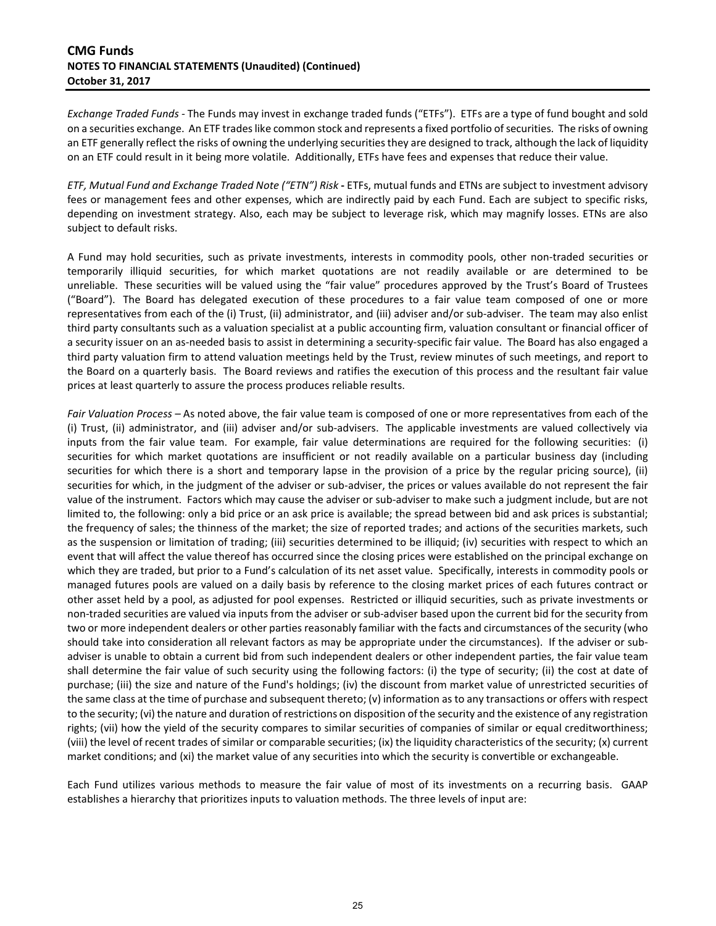## **CMG Funds NOTES TO FINANCIAL STATEMENTS (Unaudited) (Continued) October 31, 2017**

*Exchange Traded Funds -* The Funds may invest in exchange traded funds ("ETFs"). ETFs are a type of fund bought and sold on a securities exchange. An ETF trades like common stock and represents a fixed portfolio of securities. The risks of owning an ETF generally reflect the risks of owning the underlying securities they are designed to track, although the lack of liquidity on an ETF could result in it being more volatile. Additionally, ETFs have fees and expenses that reduce their value.

*ETF, Mutual Fund and Exchange Traded Note ("ETN") Risk* **-** ETFs, mutual funds and ETNs are subject to investment advisory fees or management fees and other expenses, which are indirectly paid by each Fund. Each are subject to specific risks, depending on investment strategy. Also, each may be subject to leverage risk, which may magnify losses. ETNs are also subject to default risks.

A Fund may hold securities, such as private investments, interests in commodity pools, other non-traded securities or temporarily illiquid securities, for which market quotations are not readily available or are determined to be unreliable. These securities will be valued using the "fair value" procedures approved by the Trust's Board of Trustees ("Board"). The Board has delegated execution of these procedures to a fair value team composed of one or more representatives from each of the (i) Trust, (ii) administrator, and (iii) adviser and/or sub-adviser. The team may also enlist third party consultants such as a valuation specialist at a public accounting firm, valuation consultant or financial officer of a security issuer on an as-needed basis to assist in determining a security-specific fair value. The Board has also engaged a third party valuation firm to attend valuation meetings held by the Trust, review minutes of such meetings, and report to the Board on a quarterly basis. The Board reviews and ratifies the execution of this process and the resultant fair value prices at least quarterly to assure the process produces reliable results.

*Fair Valuation Process –* As noted above, the fair value team is composed of one or more representatives from each of the (i) Trust, (ii) administrator, and (iii) adviser and/or sub-advisers. The applicable investments are valued collectively via inputs from the fair value team. For example, fair value determinations are required for the following securities: (i) securities for which market quotations are insufficient or not readily available on a particular business day (including securities for which there is a short and temporary lapse in the provision of a price by the regular pricing source), (ii) securities for which, in the judgment of the adviser or sub-adviser, the prices or values available do not represent the fair value of the instrument. Factors which may cause the adviser or sub-adviser to make such a judgment include, but are not limited to, the following: only a bid price or an ask price is available; the spread between bid and ask prices is substantial; the frequency of sales; the thinness of the market; the size of reported trades; and actions of the securities markets, such as the suspension or limitation of trading; (iii) securities determined to be illiquid; (iv) securities with respect to which an event that will affect the value thereof has occurred since the closing prices were established on the principal exchange on which they are traded, but prior to a Fund's calculation of its net asset value. Specifically, interests in commodity pools or managed futures pools are valued on a daily basis by reference to the closing market prices of each futures contract or other asset held by a pool, as adjusted for pool expenses. Restricted or illiquid securities, such as private investments or non-traded securities are valued via inputs from the adviser or sub-adviser based upon the current bid for the security from two or more independent dealers or other parties reasonably familiar with the facts and circumstances of the security (who should take into consideration all relevant factors as may be appropriate under the circumstances). If the adviser or subadviser is unable to obtain a current bid from such independent dealers or other independent parties, the fair value team shall determine the fair value of such security using the following factors: (i) the type of security; (ii) the cost at date of purchase; (iii) the size and nature of the Fund's holdings; (iv) the discount from market value of unrestricted securities of the same class at the time of purchase and subsequent thereto; (v) information as to any transactions or offers with respect to the security; (vi) the nature and duration of restrictions on disposition of the security and the existence of any registration rights; (vii) how the yield of the security compares to similar securities of companies of similar or equal creditworthiness; (viii) the level of recent trades of similar or comparable securities; (ix) the liquidity characteristics of the security; (x) current market conditions; and (xi) the market value of any securities into which the security is convertible or exchangeable.

Each Fund utilizes various methods to measure the fair value of most of its investments on a recurring basis. GAAP establishes a hierarchy that prioritizes inputs to valuation methods. The three levels of input are: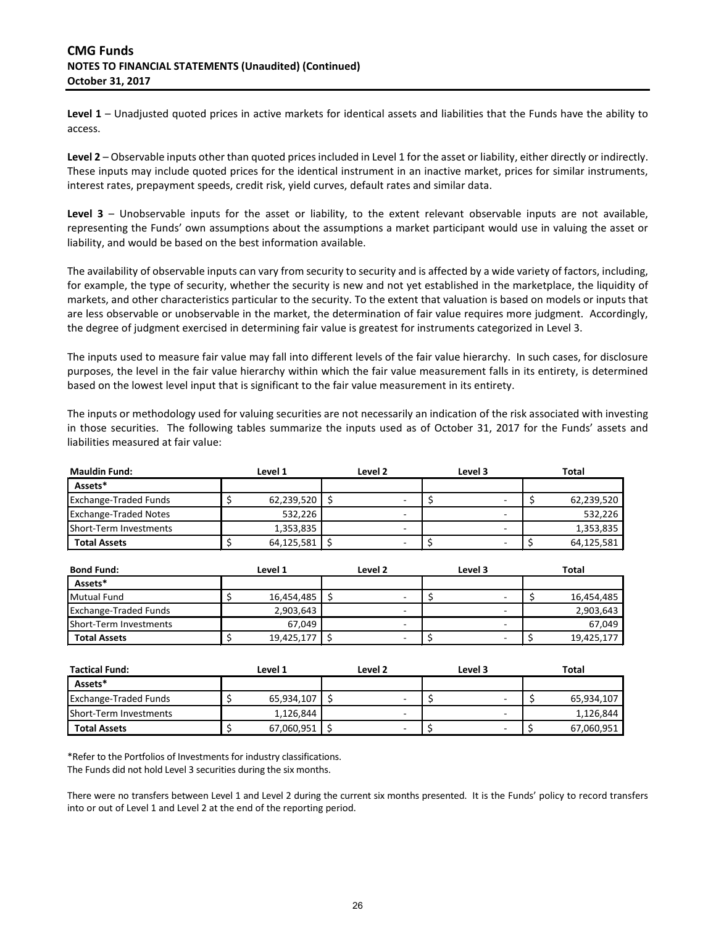**Level 1** – Unadjusted quoted prices in active markets for identical assets and liabilities that the Funds have the ability to access.

**Level 2** – Observable inputs other than quoted prices included in Level 1 for the asset or liability, either directly or indirectly. These inputs may include quoted prices for the identical instrument in an inactive market, prices for similar instruments, interest rates, prepayment speeds, credit risk, yield curves, default rates and similar data.

**Level 3** – Unobservable inputs for the asset or liability, to the extent relevant observable inputs are not available, representing the Funds' own assumptions about the assumptions a market participant would use in valuing the asset or liability, and would be based on the best information available.

The availability of observable inputs can vary from security to security and is affected by a wide variety of factors, including, for example, the type of security, whether the security is new and not yet established in the marketplace, the liquidity of markets, and other characteristics particular to the security. To the extent that valuation is based on models or inputs that are less observable or unobservable in the market, the determination of fair value requires more judgment. Accordingly, the degree of judgment exercised in determining fair value is greatest for instruments categorized in Level 3.

The inputs used to measure fair value may fall into different levels of the fair value hierarchy. In such cases, for disclosure purposes, the level in the fair value hierarchy within which the fair value measurement falls in its entirety, is determined based on the lowest level input that is significant to the fair value measurement in its entirety.

The inputs or methodology used for valuing securities are not necessarily an indication of the risk associated with investing in those securities. The following tables summarize the inputs used as of October 31, 2017 for the Funds' assets and liabilities measured at fair value:

| <b>Mauldin Fund:</b>         |  | Level 1    | Level 2 |                          |  | Level 3 | Total      |  |
|------------------------------|--|------------|---------|--------------------------|--|---------|------------|--|
| Assets*                      |  |            |         |                          |  |         |            |  |
| <b>Exchange-Traded Funds</b> |  | 62,239,520 |         | -                        |  |         | 62,239,520 |  |
| <b>Exchange-Traded Notes</b> |  | 532,226    |         | -                        |  |         | 532,226    |  |
| Short-Term Investments       |  | 1,353,835  |         | $\overline{\phantom{a}}$ |  |         | 1,353,835  |  |
| <b>Total Assets</b>          |  | 64,125,581 |         |                          |  |         | 64,125,581 |  |

| <b>Bond Fund:</b>            | Level 1 |            | Level 2 |                          |  | Level 3 | Total |            |
|------------------------------|---------|------------|---------|--------------------------|--|---------|-------|------------|
| Assets*                      |         |            |         |                          |  |         |       |            |
| Mutual Fund                  |         | 16,454,485 |         |                          |  |         |       | 16,454,485 |
| <b>Exchange-Traded Funds</b> |         | 2,903,643  |         | -                        |  |         |       | 2,903,643  |
| Short-Term Investments       |         | 67,049     |         | $\overline{\phantom{a}}$ |  |         |       | 67,049     |
| <b>Total Assets</b>          |         | 19,425,177 |         |                          |  |         |       | 19,425,177 |

| <b>Tactical Fund:</b>        | Level 1 |            | Level 2 |  | Level 3 |  | <b>Total</b> |  |
|------------------------------|---------|------------|---------|--|---------|--|--------------|--|
| Assets*                      |         |            |         |  |         |  |              |  |
| <b>Exchange-Traded Funds</b> |         | 65,934,107 |         |  |         |  | 65,934,107   |  |
| Short-Term Investments       |         | 1,126,844  | -       |  |         |  | 1,126,844    |  |
| <b>Total Assets</b>          |         | 67,060,951 | -       |  |         |  | 67,060,951   |  |

\*Refer to the Portfolios of Investments for industry classifications. The Funds did not hold Level 3 securities during the six months.

There were no transfers between Level 1 and Level 2 during the current six months presented. It is the Funds' policy to record transfers into or out of Level 1 and Level 2 at the end of the reporting period.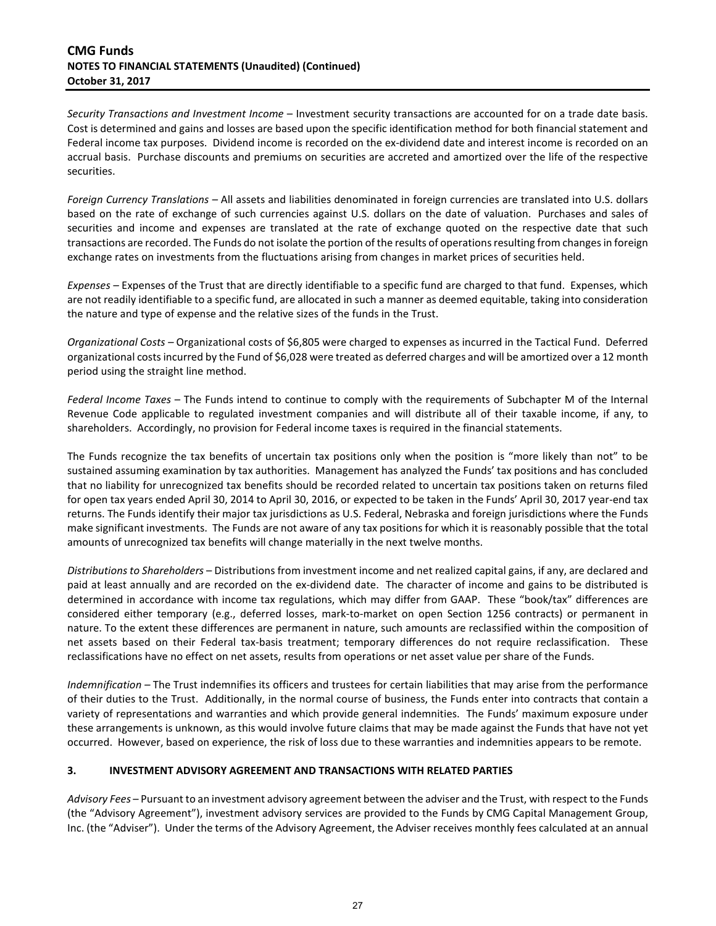### **CMG Funds NOTES TO FINANCIAL STATEMENTS (Unaudited) (Continued) October 31, 2017**

*Security Transactions and Investment Income* – Investment security transactions are accounted for on a trade date basis. Cost is determined and gains and losses are based upon the specific identification method for both financial statement and Federal income tax purposes. Dividend income is recorded on the ex-dividend date and interest income is recorded on an accrual basis. Purchase discounts and premiums on securities are accreted and amortized over the life of the respective securities.

*Foreign Currency Translations –* All assets and liabilities denominated in foreign currencies are translated into U.S. dollars based on the rate of exchange of such currencies against U.S. dollars on the date of valuation. Purchases and sales of securities and income and expenses are translated at the rate of exchange quoted on the respective date that such transactions are recorded. The Funds do not isolate the portion of the results of operations resulting from changes in foreign exchange rates on investments from the fluctuations arising from changes in market prices of securities held.

*Expenses –* Expenses of the Trust that are directly identifiable to a specific fund are charged to that fund. Expenses, which are not readily identifiable to a specific fund, are allocated in such a manner as deemed equitable, taking into consideration the nature and type of expense and the relative sizes of the funds in the Trust.

*Organizational Costs –* Organizational costs of \$6,805 were charged to expenses as incurred in the Tactical Fund. Deferred organizational costs incurred by the Fund of \$6,028 were treated as deferred charges and will be amortized over a 12 month period using the straight line method.

*Federal Income Taxes* – The Funds intend to continue to comply with the requirements of Subchapter M of the Internal Revenue Code applicable to regulated investment companies and will distribute all of their taxable income, if any, to shareholders. Accordingly, no provision for Federal income taxes is required in the financial statements.

The Funds recognize the tax benefits of uncertain tax positions only when the position is "more likely than not" to be sustained assuming examination by tax authorities. Management has analyzed the Funds' tax positions and has concluded that no liability for unrecognized tax benefits should be recorded related to uncertain tax positions taken on returns filed for open tax years ended April 30, 2014 to April 30, 2016, or expected to be taken in the Funds' April 30, 2017 year-end tax returns. The Funds identify their major tax jurisdictions as U.S. Federal, Nebraska and foreign jurisdictions where the Funds make significant investments. The Funds are not aware of any tax positions for which it is reasonably possible that the total amounts of unrecognized tax benefits will change materially in the next twelve months.

*Distributions to Shareholders* – Distributions from investment income and net realized capital gains, if any, are declared and paid at least annually and are recorded on the ex-dividend date. The character of income and gains to be distributed is determined in accordance with income tax regulations, which may differ from GAAP. These "book/tax" differences are considered either temporary (e.g., deferred losses, mark-to-market on open Section 1256 contracts) or permanent in nature. To the extent these differences are permanent in nature, such amounts are reclassified within the composition of net assets based on their Federal tax-basis treatment; temporary differences do not require reclassification. These reclassifications have no effect on net assets, results from operations or net asset value per share of the Funds.

*Indemnification –* The Trust indemnifies its officers and trustees for certain liabilities that may arise from the performance of their duties to the Trust. Additionally, in the normal course of business, the Funds enter into contracts that contain a variety of representations and warranties and which provide general indemnities. The Funds' maximum exposure under these arrangements is unknown, as this would involve future claims that may be made against the Funds that have not yet occurred. However, based on experience, the risk of loss due to these warranties and indemnities appears to be remote.

## **3. INVESTMENT ADVISORY AGREEMENT AND TRANSACTIONS WITH RELATED PARTIES**

*Advisory Fees* – Pursuant to an investment advisory agreement between the adviser and the Trust, with respect to the Funds (the "Advisory Agreement"), investment advisory services are provided to the Funds by CMG Capital Management Group, Inc. (the "Adviser"). Under the terms of the Advisory Agreement, the Adviser receives monthly fees calculated at an annual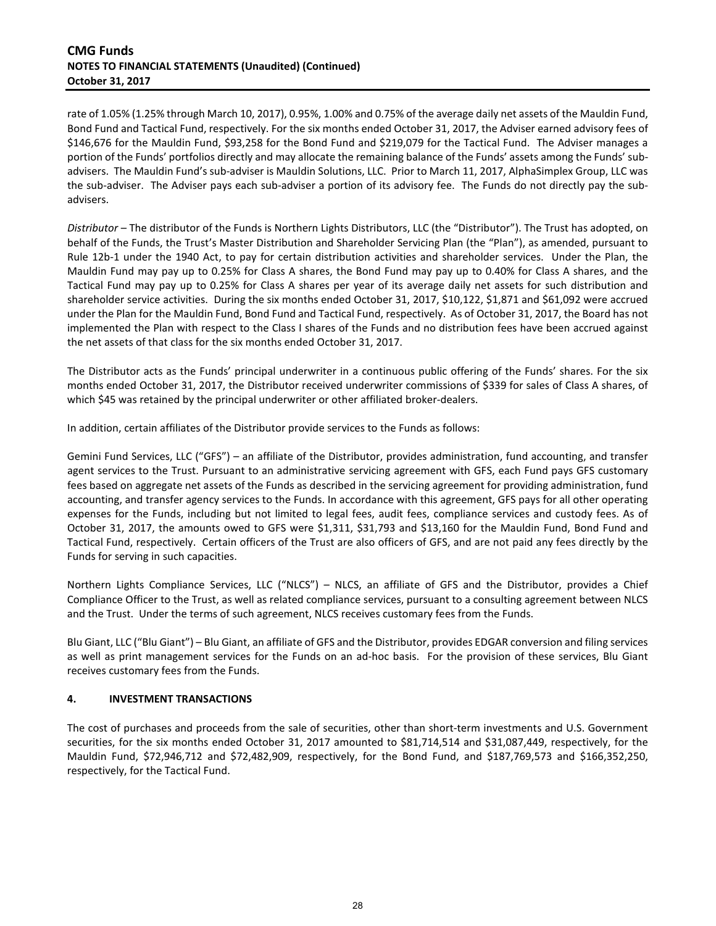#### **CMG Funds NOTES TO FINANCIAL STATEMENTS (Unaudited) (Continued) October 31, 2017**

rate of 1.05% (1.25% through March 10, 2017), 0.95%, 1.00% and 0.75% of the average daily net assets of the Mauldin Fund, Bond Fund and Tactical Fund, respectively. For the six months ended October 31, 2017, the Adviser earned advisory fees of \$146,676 for the Mauldin Fund, \$93,258 for the Bond Fund and \$219,079 for the Tactical Fund. The Adviser manages a portion of the Funds' portfolios directly and may allocate the remaining balance of the Funds' assets among the Funds' subadvisers. The Mauldin Fund's sub-adviser is Mauldin Solutions, LLC. Prior to March 11, 2017, AlphaSimplex Group, LLC was the sub-adviser. The Adviser pays each sub-adviser a portion of its advisory fee. The Funds do not directly pay the subadvisers.

*Distributor* – The distributor of the Funds is Northern Lights Distributors, LLC (the "Distributor"). The Trust has adopted, on behalf of the Funds, the Trust's Master Distribution and Shareholder Servicing Plan (the "Plan"), as amended, pursuant to Rule 12b-1 under the 1940 Act, to pay for certain distribution activities and shareholder services. Under the Plan, the Mauldin Fund may pay up to 0.25% for Class A shares, the Bond Fund may pay up to 0.40% for Class A shares, and the Tactical Fund may pay up to 0.25% for Class A shares per year of its average daily net assets for such distribution and shareholder service activities. During the six months ended October 31, 2017, \$10,122, \$1,871 and \$61,092 were accrued under the Plan for the Mauldin Fund, Bond Fund and Tactical Fund, respectively. As of October 31, 2017, the Board has not implemented the Plan with respect to the Class I shares of the Funds and no distribution fees have been accrued against the net assets of that class for the six months ended October 31, 2017.

The Distributor acts as the Funds' principal underwriter in a continuous public offering of the Funds' shares. For the six months ended October 31, 2017, the Distributor received underwriter commissions of \$339 for sales of Class A shares, of which \$45 was retained by the principal underwriter or other affiliated broker-dealers.

In addition, certain affiliates of the Distributor provide services to the Funds as follows:

Gemini Fund Services, LLC ("GFS") – an affiliate of the Distributor, provides administration, fund accounting, and transfer agent services to the Trust. Pursuant to an administrative servicing agreement with GFS, each Fund pays GFS customary fees based on aggregate net assets of the Funds as described in the servicing agreement for providing administration, fund accounting, and transfer agency services to the Funds. In accordance with this agreement, GFS pays for all other operating expenses for the Funds, including but not limited to legal fees, audit fees, compliance services and custody fees. As of October 31, 2017, the amounts owed to GFS were \$1,311, \$31,793 and \$13,160 for the Mauldin Fund, Bond Fund and Tactical Fund, respectively. Certain officers of the Trust are also officers of GFS, and are not paid any fees directly by the Funds for serving in such capacities.

Northern Lights Compliance Services, LLC ("NLCS") – NLCS, an affiliate of GFS and the Distributor, provides a Chief Compliance Officer to the Trust, as well as related compliance services, pursuant to a consulting agreement between NLCS and the Trust. Under the terms of such agreement, NLCS receives customary fees from the Funds.

Blu Giant, LLC ("Blu Giant") – Blu Giant, an affiliate of GFS and the Distributor, provides EDGAR conversion and filing services as well as print management services for the Funds on an ad-hoc basis. For the provision of these services, Blu Giant receives customary fees from the Funds.

## **4. INVESTMENT TRANSACTIONS**

The cost of purchases and proceeds from the sale of securities, other than short-term investments and U.S. Government securities, for the six months ended October 31, 2017 amounted to \$81,714,514 and \$31,087,449, respectively, for the Mauldin Fund, \$72,946,712 and \$72,482,909, respectively, for the Bond Fund, and \$187,769,573 and \$166,352,250, respectively, for the Tactical Fund.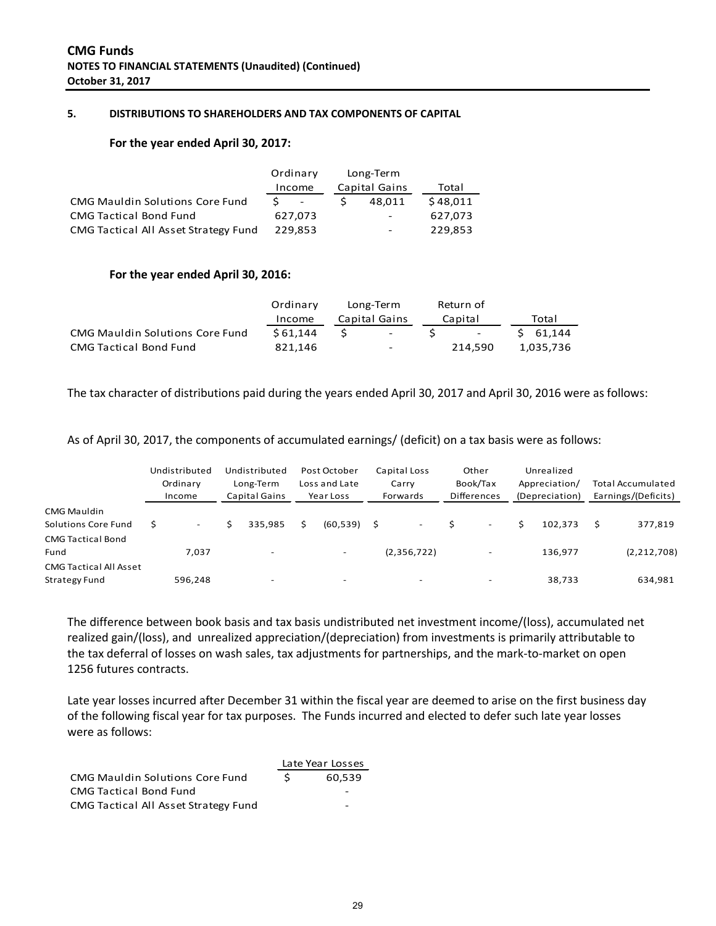#### **5. DISTRIBUTIONS TO SHAREHOLDERS AND TAX COMPONENTS OF CAPITAL**

#### **For the year ended April 30, 2017:**

|                                        |        | Ordinary                 | Long-Term                |          |
|----------------------------------------|--------|--------------------------|--------------------------|----------|
|                                        | Income |                          | Capital Gains            | Total    |
| <b>CMG Mauldin Solutions Core Fund</b> | S.     | $\overline{\phantom{a}}$ | 48.011                   | \$48,011 |
| <b>CMG Tactical Bond Fund</b>          |        | 627.073                  | $\overline{\phantom{a}}$ | 627.073  |
| CMG Tactical All Asset Strategy Fund   |        | 229.853                  | $\overline{\phantom{a}}$ | 229,853  |

#### **For the year ended April 30, 2016:**

|                                 | Ordinary | Long-Term     |                 | Return of            |       |                 |
|---------------------------------|----------|---------------|-----------------|----------------------|-------|-----------------|
|                                 | Income   | Capital Gains |                 | Capital              | Total |                 |
| CMG Mauldin Solutions Core Fund | \$61.144 | $\sim 100$    | $\sim$ S $\sim$ | and the state of the |       | $5\quad 61.144$ |
| <b>CMG Tactical Bond Fund</b>   | 821.146  | -             |                 | 214.590              |       | 1.035.736       |

The tax character of distributions paid during the years ended April 30, 2017 and April 30, 2016 were as follows:

As of April 30, 2017, the components of accumulated earnings/ (deficit) on a tax basis were as follows:

|                                                | Undistributed<br>Ordinary<br>Income | Undistributed<br>Long-Term<br>Capital Gains |   | Post October<br>Loss and Late<br>Year Loss | Capital Loss<br>Carry<br>Forwards | Other<br>Book/Tax<br><b>Differences</b> | Unrealized<br>Appreciation/<br>(Depreciation) | <b>Total Accumulated</b><br>Earnings/(Deficits) |
|------------------------------------------------|-------------------------------------|---------------------------------------------|---|--------------------------------------------|-----------------------------------|-----------------------------------------|-----------------------------------------------|-------------------------------------------------|
| CMG Mauldin<br>Solutions Core Fund             | \$                                  | 335.985                                     | Ś | $(60,539)$ \$                              | $\overline{\phantom{a}}$          | $\overline{\phantom{a}}$                | 102.373                                       | 377,819                                         |
| <b>CMG Tactical Bond</b><br>Fund               | 7.037                               | $\overline{\phantom{0}}$                    |   | $\overline{\phantom{0}}$                   | (2,356,722)                       | $\overline{\phantom{0}}$                | 136,977                                       | (2, 212, 708)                                   |
| <b>CMG Tactical All Asset</b><br>Strategy Fund | 596.248                             | $\overline{\phantom{0}}$                    |   | $\overline{\phantom{0}}$                   | $\overline{\phantom{0}}$          | $\overline{\phantom{0}}$                | 38,733                                        | 634,981                                         |

The difference between book basis and tax basis undistributed net investment income/(loss), accumulated net realized gain/(loss), and unrealized appreciation/(depreciation) from investments is primarily attributable to the tax deferral of losses on wash sales, tax adjustments for partnerships, and the mark-to-market on open 1256 futures contracts.

Late year losses incurred after December 31 within the fiscal year are deemed to arise on the first business day of the following fiscal year for tax purposes. The Funds incurred and elected to defer such late year losses were as follows:

|                                        |     | Late Year Losses         |
|----------------------------------------|-----|--------------------------|
| <b>CMG Mauldin Solutions Core Fund</b> | S – | 60.539                   |
| <b>CMG Tactical Bond Fund</b>          |     | ۰                        |
| CMG Tactical All Asset Strategy Fund   |     | $\overline{\phantom{0}}$ |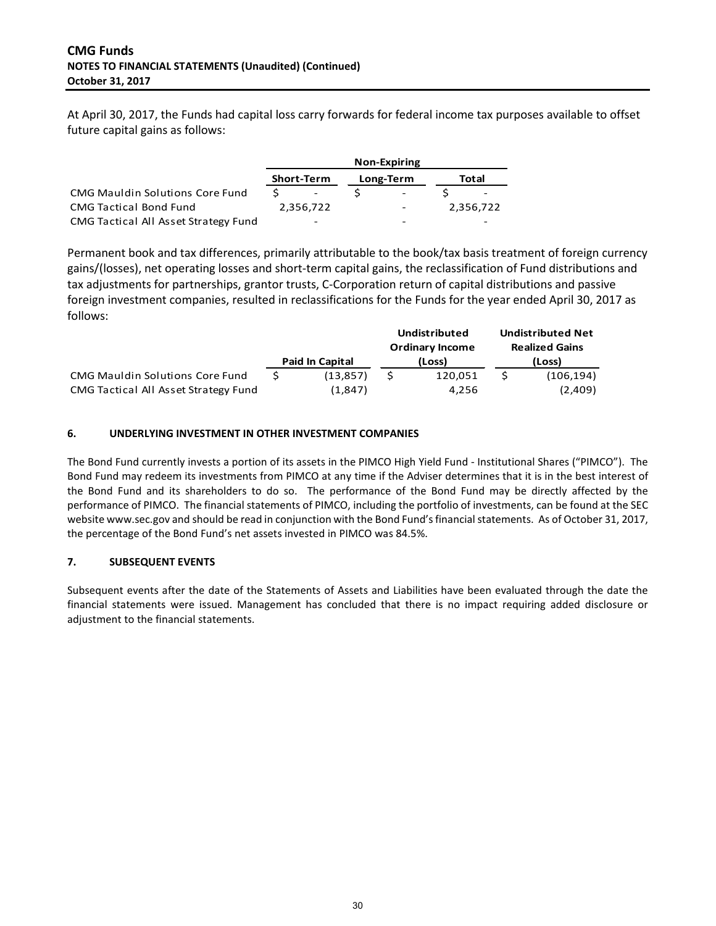At April 30, 2017, the Funds had capital loss carry forwards for federal income tax purposes available to offset future capital gains as follows:

|                                        |                   | <b>Non-Expiring</b>      |                          |
|----------------------------------------|-------------------|--------------------------|--------------------------|
|                                        | <b>Short-Term</b> | Long-Term                | Total                    |
| <b>CMG Mauldin Solutions Core Fund</b> |                   | $\overline{\phantom{a}}$ | -                        |
| <b>CMG Tactical Bond Fund</b>          | 2.356.722         | ۰                        | 2,356,722                |
| CMG Tactical All Asset Strategy Fund   | ۰                 | -                        | $\overline{\phantom{0}}$ |

Permanent book and tax differences, primarily attributable to the book/tax basis treatment of foreign currency gains/(losses), net operating losses and short-term capital gains, the reclassification of Fund distributions and tax adjustments for partnerships, grantor trusts, C-Corporation return of capital distributions and passive foreign investment companies, resulted in reclassifications for the Funds for the year ended April 30, 2017 as follows:

|                                        |                        |                 | <b>Undistributed</b> | <b>Undistributed Net</b> |                       |  |
|----------------------------------------|------------------------|-----------------|----------------------|--------------------------|-----------------------|--|
|                                        |                        | Ordinary Income |                      |                          | <b>Realized Gains</b> |  |
|                                        | <b>Paid In Capital</b> |                 | (Loss)               | (Loss)                   |                       |  |
| <b>CMG Mauldin Solutions Core Fund</b> | (13.857)               |                 | 120.051              |                          | (106, 194)            |  |
| CMG Tactical All Asset Strategy Fund   | (1,847)                |                 | 4.256                |                          | (2,409)               |  |

#### **6. UNDERLYING INVESTMENT IN OTHER INVESTMENT COMPANIES**

The Bond Fund currently invests a portion of its assets in the PIMCO High Yield Fund - Institutional Shares ("PIMCO"). The Bond Fund may redeem its investments from PIMCO at any time if the Adviser determines that it is in the best interest of the Bond Fund and its shareholders to do so. The performance of the Bond Fund may be directly affected by the performance of PIMCO. The financial statements of PIMCO, including the portfolio of investments, can be found at the SEC websit[e www.sec.gov](http://www.sec.gov/) and should be read in conjunction with the Bond Fund's financial statements. As of October 31, 2017, the percentage of the Bond Fund's net assets invested in PIMCO was 84.5%.

#### **7. SUBSEQUENT EVENTS**

Subsequent events after the date of the Statements of Assets and Liabilities have been evaluated through the date the financial statements were issued. Management has concluded that there is no impact requiring added disclosure or adjustment to the financial statements.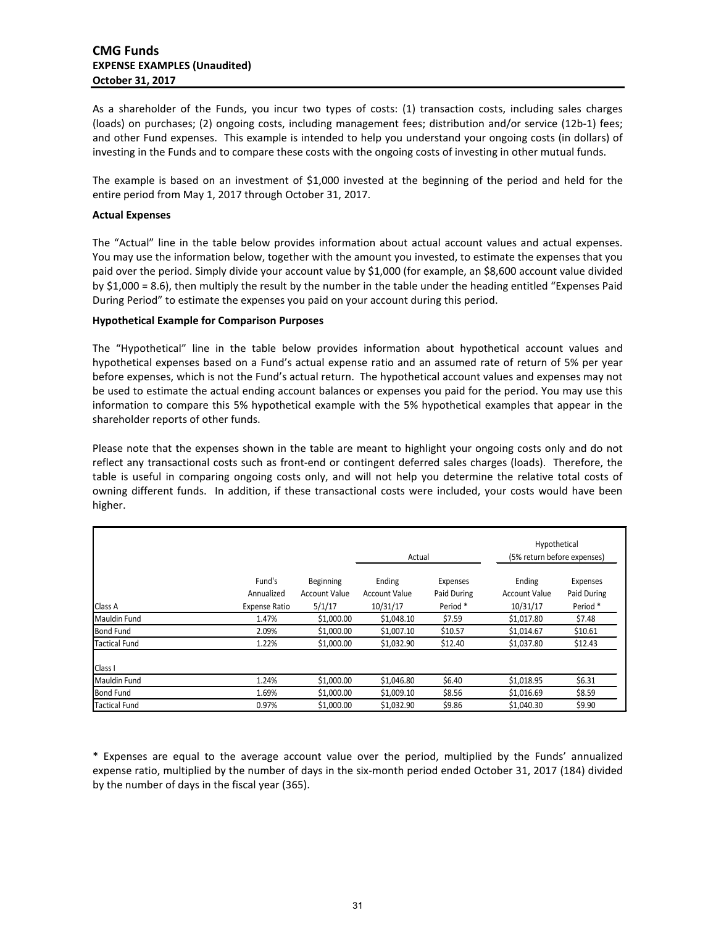As a shareholder of the Funds, you incur two types of costs: (1) transaction costs, including sales charges (loads) on purchases; (2) ongoing costs, including management fees; distribution and/or service (12b-1) fees; and other Fund expenses. This example is intended to help you understand your ongoing costs (in dollars) of investing in the Funds and to compare these costs with the ongoing costs of investing in other mutual funds.

The example is based on an investment of \$1,000 invested at the beginning of the period and held for the entire period from May 1, 2017 through October 31, 2017.

#### **Actual Expenses**

The "Actual" line in the table below provides information about actual account values and actual expenses. You may use the information below, together with the amount you invested, to estimate the expenses that you paid over the period. Simply divide your account value by \$1,000 (for example, an \$8,600 account value divided by \$1,000 = 8.6), then multiply the result by the number in the table under the heading entitled "Expenses Paid During Period" to estimate the expenses you paid on your account during this period.

#### **Hypothetical Example for Comparison Purposes**

The "Hypothetical" line in the table below provides information about hypothetical account values and hypothetical expenses based on a Fund's actual expense ratio and an assumed rate of return of 5% per year before expenses, which is not the Fund's actual return. The hypothetical account values and expenses may not be used to estimate the actual ending account balances or expenses you paid for the period. You may use this information to compare this 5% hypothetical example with the 5% hypothetical examples that appear in the shareholder reports of other funds.

Please note that the expenses shown in the table are meant to highlight your ongoing costs only and do not reflect any transactional costs such as front-end or contingent deferred sales charges (loads). Therefore, the table is useful in comparing ongoing costs only, and will not help you determine the relative total costs of owning different funds. In addition, if these transactional costs were included, your costs would have been higher.

|                      |                                              | Actual                                      |                                            | Hypothetical<br>(5% return before expenses) |                                     |                                    |
|----------------------|----------------------------------------------|---------------------------------------------|--------------------------------------------|---------------------------------------------|-------------------------------------|------------------------------------|
| Class A              | Fund's<br>Annualized<br><b>Expense Ratio</b> | Beginning<br><b>Account Value</b><br>5/1/17 | Ending<br><b>Account Value</b><br>10/31/17 | Expenses<br>Paid During<br>Period*          | Ending<br>Account Value<br>10/31/17 | Expenses<br>Paid During<br>Period* |
| Mauldin Fund         | 1.47%                                        | \$1,000.00                                  | \$1,048.10                                 | \$7.59                                      | \$1,017.80                          | \$7.48                             |
| <b>Bond Fund</b>     | 2.09%                                        | \$1,000.00                                  | \$1,007.10                                 | \$10.57                                     | \$1,014.67                          | \$10.61                            |
| <b>Tactical Fund</b> | 1.22%                                        | \$1,000.00                                  | \$1,032.90                                 | \$12.40                                     | \$1,037.80                          | \$12.43                            |
| Class I              |                                              |                                             |                                            |                                             |                                     |                                    |
| <b>Mauldin Fund</b>  | 1.24%                                        | \$1,000.00                                  | \$1,046.80                                 | \$6.40                                      | \$1,018.95                          | \$6.31                             |
| <b>Bond Fund</b>     | 1.69%                                        | \$1,000.00                                  | \$1,009.10                                 | \$8.56                                      | \$1,016.69                          | \$8.59                             |
| <b>Tactical Fund</b> | 0.97%                                        | \$1,000.00                                  | \$1.032.90                                 | \$9.86                                      | \$1,040.30                          | \$9.90                             |

\* Expenses are equal to the average account value over the period, multiplied by the Funds' annualized expense ratio, multiplied by the number of days in the six-month period ended October 31, 2017 (184) divided by the number of days in the fiscal year (365).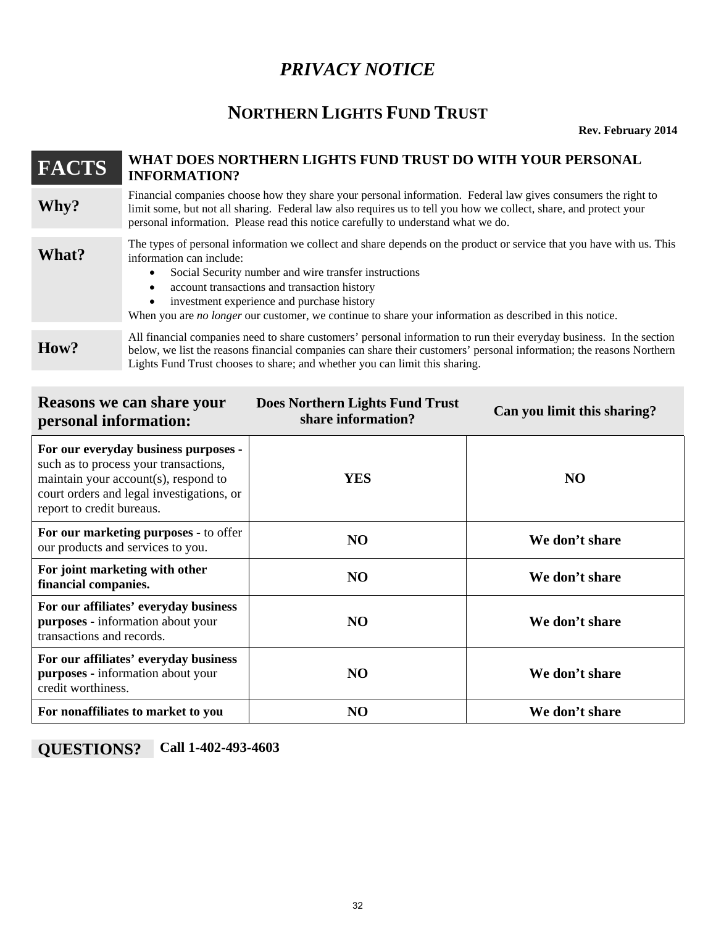# *PRIVACY NOTICE*

# **NORTHERN LIGHTS FUND TRUST**

**Rev. February 2014** 

# **FACTS WHAT DOES NORTHERN LIGHTS FUND TRUST DO WITH YOUR PERSONAL INFORMATION?** Financial companies choose how they share your personal information. Federal law gives consumers the right to<br>Iimit some, but not all sharing. Federal law also requires us to tell you how we collect, share, and protect you personal information. Please read this notice carefully to understand what we do. **The types of personal information we collect and share depends on the product or service that you have with us. This information can include:** information can include: • Social Security number and wire transfer instructions account transactions and transaction history investment experience and purchase history When you are *no longer* our customer, we continue to share your information as described in this notice.

All financial companies need to share customers' personal information to run their everyday business. In the section below, we list the reasons financial companies can share their customers' personal information; the reaso Lights Fund Trust chooses to share; and whether you can limit this sharing.

| <b>Reasons we can share your</b><br>personal information:                                                                                                                                       | <b>Does Northern Lights Fund Trust</b><br>share information? | Can you limit this sharing? |  |  |  |  |
|-------------------------------------------------------------------------------------------------------------------------------------------------------------------------------------------------|--------------------------------------------------------------|-----------------------------|--|--|--|--|
| For our everyday business purposes -<br>such as to process your transactions,<br>maintain your account(s), respond to<br>court orders and legal investigations, or<br>report to credit bureaus. | <b>YES</b>                                                   | N <sub>O</sub>              |  |  |  |  |
| For our marketing purposes - to offer<br>our products and services to you.                                                                                                                      | N <sub>O</sub>                                               | We don't share              |  |  |  |  |
| For joint marketing with other<br>financial companies.                                                                                                                                          | N <sub>O</sub>                                               | We don't share              |  |  |  |  |
| For our affiliates' everyday business<br>purposes - information about your<br>transactions and records.                                                                                         | N <sub>O</sub>                                               | We don't share              |  |  |  |  |
| For our affiliates' everyday business<br>purposes - information about your<br>credit worthiness.                                                                                                | N <sub>O</sub>                                               | We don't share              |  |  |  |  |
| For nonaffiliates to market to you                                                                                                                                                              | N <sub>O</sub>                                               | We don't share              |  |  |  |  |

**QUESTIONS? Call 1-402-493-4603**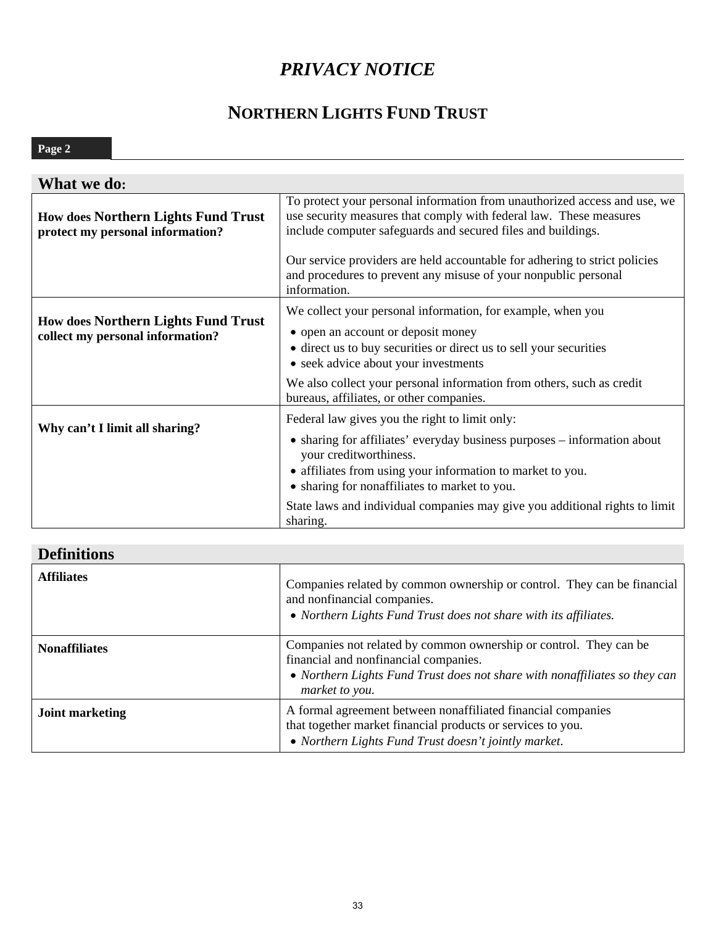# *PRIVACY NOTICE*

# **NORTHERN LIGHTS FUND TRUST**

# **Page 2**

| What we do:                                                                    |                                                                                                                                                                                                                                                                                                                                                                                  |
|--------------------------------------------------------------------------------|----------------------------------------------------------------------------------------------------------------------------------------------------------------------------------------------------------------------------------------------------------------------------------------------------------------------------------------------------------------------------------|
| <b>How does Northern Lights Fund Trust</b><br>protect my personal information? | To protect your personal information from unauthorized access and use, we<br>use security measures that comply with federal law. These measures<br>include computer safeguards and secured files and buildings.<br>Our service providers are held accountable for adhering to strict policies<br>and procedures to prevent any misuse of your nonpublic personal<br>information. |
| <b>How does Northern Lights Fund Trust</b><br>collect my personal information? | We collect your personal information, for example, when you<br>• open an account or deposit money<br>• direct us to buy securities or direct us to sell your securities<br>• seek advice about your investments<br>We also collect your personal information from others, such as credit<br>bureaus, affiliates, or other companies.                                             |
| Why can't I limit all sharing?                                                 | Federal law gives you the right to limit only:<br>• sharing for affiliates' everyday business purposes – information about<br>your creditworthiness.<br>• affiliates from using your information to market to you.<br>• sharing for nonaffiliates to market to you.<br>State laws and individual companies may give you additional rights to limit<br>sharing.                   |

# **Definitions**

| <b>Affiliates</b>      | Companies related by common ownership or control. They can be financial<br>and nonfinancial companies.<br>• Northern Lights Fund Trust does not share with its affiliates.                                 |
|------------------------|------------------------------------------------------------------------------------------------------------------------------------------------------------------------------------------------------------|
| <b>Nonaffiliates</b>   | Companies not related by common ownership or control. They can be<br>financial and nonfinancial companies.<br>• Northern Lights Fund Trust does not share with nonaffiliates so they can<br>market to you. |
| <b>Joint marketing</b> | A formal agreement between nonaffiliated financial companies<br>that together market financial products or services to you.<br>• Northern Lights Fund Trust doesn't jointly market.                        |